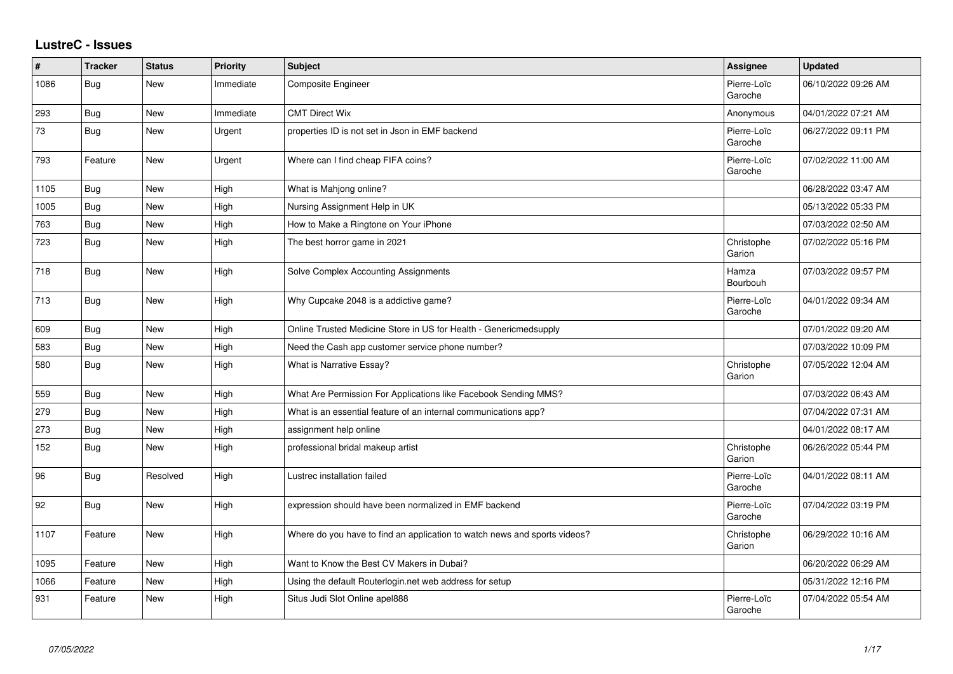## **LustreC - Issues**

| ∦    | <b>Tracker</b> | <b>Status</b> | <b>Priority</b> | Subject                                                                   | Assignee               | <b>Updated</b>      |
|------|----------------|---------------|-----------------|---------------------------------------------------------------------------|------------------------|---------------------|
| 1086 | Bug            | <b>New</b>    | Immediate       | Composite Engineer                                                        | Pierre-Loïc<br>Garoche | 06/10/2022 09:26 AM |
| 293  | Bug            | New           | Immediate       | <b>CMT Direct Wix</b>                                                     | Anonymous              | 04/01/2022 07:21 AM |
| 73   | Bug            | <b>New</b>    | Urgent          | properties ID is not set in Json in EMF backend                           | Pierre-Loïc<br>Garoche | 06/27/2022 09:11 PM |
| 793  | Feature        | New           | Urgent          | Where can I find cheap FIFA coins?                                        | Pierre-Loïc<br>Garoche | 07/02/2022 11:00 AM |
| 1105 | Bug            | <b>New</b>    | High            | What is Mahjong online?                                                   |                        | 06/28/2022 03:47 AM |
| 1005 | Bug            | New           | High            | Nursing Assignment Help in UK                                             |                        | 05/13/2022 05:33 PM |
| 763  | Bug            | New           | High            | How to Make a Ringtone on Your iPhone                                     |                        | 07/03/2022 02:50 AM |
| 723  | <b>Bug</b>     | New           | High            | The best horror game in 2021                                              | Christophe<br>Garion   | 07/02/2022 05:16 PM |
| 718  | <b>Bug</b>     | <b>New</b>    | High            | Solve Complex Accounting Assignments                                      | Hamza<br>Bourbouh      | 07/03/2022 09:57 PM |
| 713  | Bug            | New           | High            | Why Cupcake 2048 is a addictive game?                                     | Pierre-Loïc<br>Garoche | 04/01/2022 09:34 AM |
| 609  | Bug            | New           | High            | Online Trusted Medicine Store in US for Health - Genericmedsupply         |                        | 07/01/2022 09:20 AM |
| 583  | Bug            | <b>New</b>    | High            | Need the Cash app customer service phone number?                          |                        | 07/03/2022 10:09 PM |
| 580  | Bug            | <b>New</b>    | High            | What is Narrative Essay?                                                  | Christophe<br>Garion   | 07/05/2022 12:04 AM |
| 559  | Bug            | <b>New</b>    | High            | What Are Permission For Applications like Facebook Sending MMS?           |                        | 07/03/2022 06:43 AM |
| 279  | Bug            | <b>New</b>    | High            | What is an essential feature of an internal communications app?           |                        | 07/04/2022 07:31 AM |
| 273  | <b>Bug</b>     | New           | High            | assignment help online                                                    |                        | 04/01/2022 08:17 AM |
| 152  | Bug            | <b>New</b>    | High            | professional bridal makeup artist                                         | Christophe<br>Garion   | 06/26/2022 05:44 PM |
| 96   | Bug            | Resolved      | High            | Lustrec installation failed                                               | Pierre-Loïc<br>Garoche | 04/01/2022 08:11 AM |
| 92   | Bug            | <b>New</b>    | High            | expression should have been normalized in EMF backend                     | Pierre-Loïc<br>Garoche | 07/04/2022 03:19 PM |
| 1107 | Feature        | New           | High            | Where do you have to find an application to watch news and sports videos? | Christophe<br>Garion   | 06/29/2022 10:16 AM |
| 1095 | Feature        | New           | High            | Want to Know the Best CV Makers in Dubai?                                 |                        | 06/20/2022 06:29 AM |
| 1066 | Feature        | <b>New</b>    | High            | Using the default Routerlogin.net web address for setup                   |                        | 05/31/2022 12:16 PM |
| 931  | Feature        | <b>New</b>    | High            | Situs Judi Slot Online apel888                                            | Pierre-Loïc<br>Garoche | 07/04/2022 05:54 AM |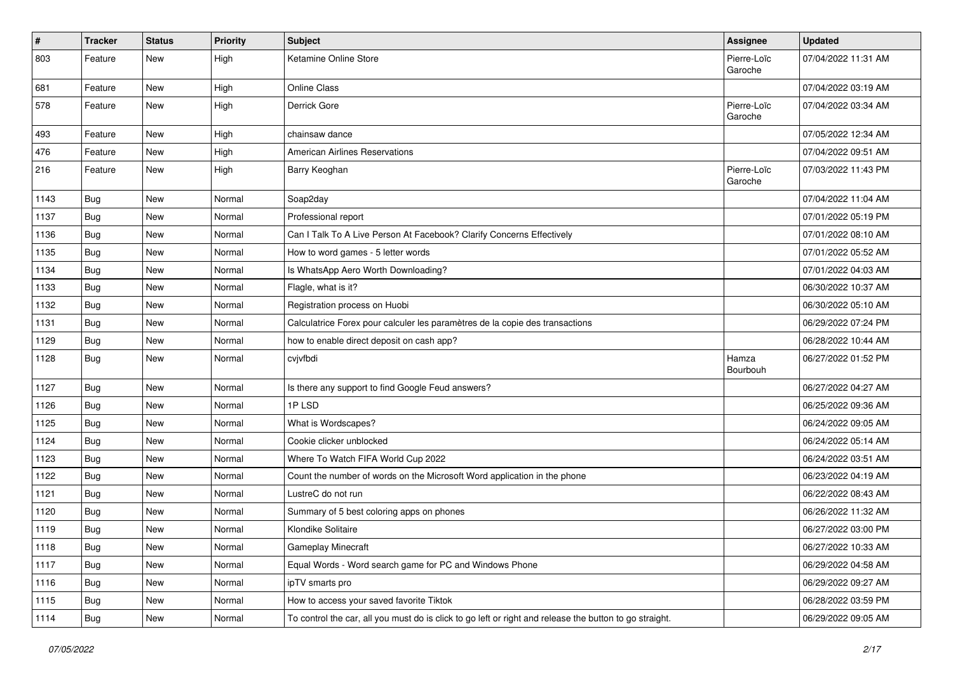| $\vert$ # | <b>Tracker</b> | <b>Status</b> | <b>Priority</b> | <b>Subject</b>                                                                                          | <b>Assignee</b>        | <b>Updated</b>      |
|-----------|----------------|---------------|-----------------|---------------------------------------------------------------------------------------------------------|------------------------|---------------------|
| 803       | Feature        | New           | High            | Ketamine Online Store                                                                                   | Pierre-Loïc<br>Garoche | 07/04/2022 11:31 AM |
| 681       | Feature        | New           | High            | <b>Online Class</b>                                                                                     |                        | 07/04/2022 03:19 AM |
| 578       | Feature        | New           | High            | Derrick Gore                                                                                            | Pierre-Loïc<br>Garoche | 07/04/2022 03:34 AM |
| 493       | Feature        | New           | High            | chainsaw dance                                                                                          |                        | 07/05/2022 12:34 AM |
| 476       | Feature        | <b>New</b>    | High            | <b>American Airlines Reservations</b>                                                                   |                        | 07/04/2022 09:51 AM |
| 216       | Feature        | <b>New</b>    | High            | Barry Keoghan                                                                                           | Pierre-Loïc<br>Garoche | 07/03/2022 11:43 PM |
| 1143      | <b>Bug</b>     | <b>New</b>    | Normal          | Soap2day                                                                                                |                        | 07/04/2022 11:04 AM |
| 1137      | Bug            | New           | Normal          | Professional report                                                                                     |                        | 07/01/2022 05:19 PM |
| 1136      | Bug            | <b>New</b>    | Normal          | Can I Talk To A Live Person At Facebook? Clarify Concerns Effectively                                   |                        | 07/01/2022 08:10 AM |
| 1135      | Bug            | <b>New</b>    | Normal          | How to word games - 5 letter words                                                                      |                        | 07/01/2022 05:52 AM |
| 1134      | Bug            | New           | Normal          | Is WhatsApp Aero Worth Downloading?                                                                     |                        | 07/01/2022 04:03 AM |
| 1133      | Bug            | <b>New</b>    | Normal          | Flagle, what is it?                                                                                     |                        | 06/30/2022 10:37 AM |
| 1132      | Bug            | New           | Normal          | Registration process on Huobi                                                                           |                        | 06/30/2022 05:10 AM |
| 1131      | <b>Bug</b>     | <b>New</b>    | Normal          | Calculatrice Forex pour calculer les paramètres de la copie des transactions                            |                        | 06/29/2022 07:24 PM |
| 1129      | <b>Bug</b>     | New           | Normal          | how to enable direct deposit on cash app?                                                               |                        | 06/28/2022 10:44 AM |
| 1128      | Bug            | New           | Normal          | cvjvfbdi                                                                                                | Hamza<br>Bourbouh      | 06/27/2022 01:52 PM |
| 1127      | Bug            | New           | Normal          | Is there any support to find Google Feud answers?                                                       |                        | 06/27/2022 04:27 AM |
| 1126      | Bug            | New           | Normal          | 1PLSD                                                                                                   |                        | 06/25/2022 09:36 AM |
| 1125      | Bug            | <b>New</b>    | Normal          | What is Wordscapes?                                                                                     |                        | 06/24/2022 09:05 AM |
| 1124      | Bug            | New           | Normal          | Cookie clicker unblocked                                                                                |                        | 06/24/2022 05:14 AM |
| 1123      | <b>Bug</b>     | <b>New</b>    | Normal          | Where To Watch FIFA World Cup 2022                                                                      |                        | 06/24/2022 03:51 AM |
| 1122      | Bug            | <b>New</b>    | Normal          | Count the number of words on the Microsoft Word application in the phone                                |                        | 06/23/2022 04:19 AM |
| 1121      | <b>Bug</b>     | New           | Normal          | LustreC do not run                                                                                      |                        | 06/22/2022 08:43 AM |
| 1120      | Bug            | <b>New</b>    | Normal          | Summary of 5 best coloring apps on phones                                                               |                        | 06/26/2022 11:32 AM |
| 1119      | <b>Bug</b>     | New           | Normal          | Klondike Solitaire                                                                                      |                        | 06/27/2022 03:00 PM |
| 1118      | <b>Bug</b>     | New           | Normal          | Gameplay Minecraft                                                                                      |                        | 06/27/2022 10:33 AM |
| 1117      | Bug            | New           | Normal          | Equal Words - Word search game for PC and Windows Phone                                                 |                        | 06/29/2022 04:58 AM |
| 1116      | Bug            | New           | Normal          | ipTV smarts pro                                                                                         |                        | 06/29/2022 09:27 AM |
| 1115      | <b>Bug</b>     | New           | Normal          | How to access your saved favorite Tiktok                                                                |                        | 06/28/2022 03:59 PM |
| 1114      | Bug            | New           | Normal          | To control the car, all you must do is click to go left or right and release the button to go straight. |                        | 06/29/2022 09:05 AM |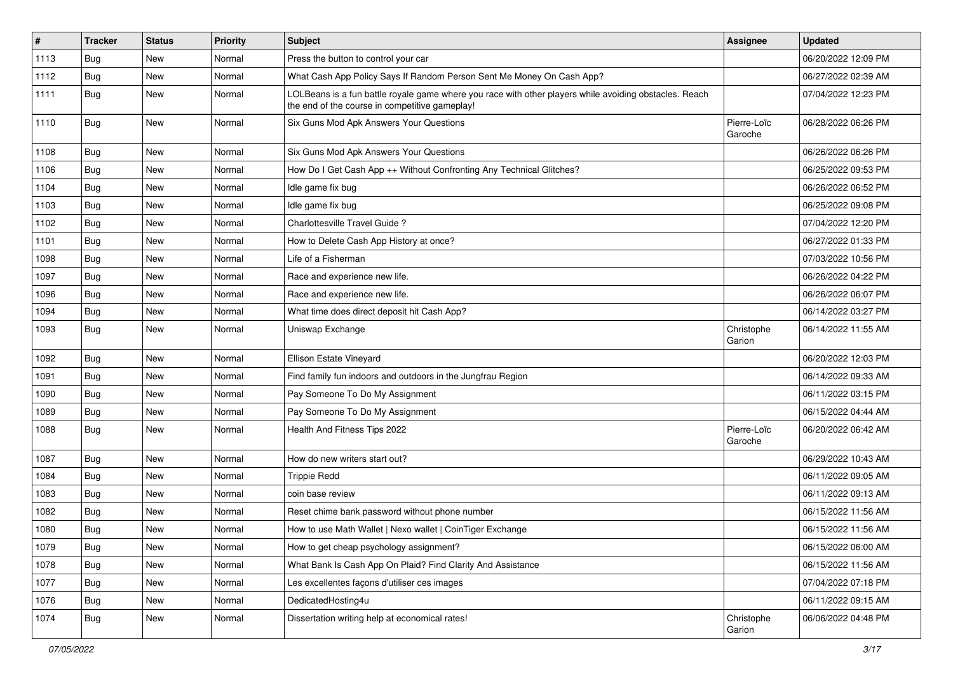| $\pmb{\#}$ | <b>Tracker</b> | <b>Status</b> | <b>Priority</b> | Subject                                                                                                                                                  | <b>Assignee</b>        | <b>Updated</b>      |
|------------|----------------|---------------|-----------------|----------------------------------------------------------------------------------------------------------------------------------------------------------|------------------------|---------------------|
| 1113       | Bug            | New           | Normal          | Press the button to control your car                                                                                                                     |                        | 06/20/2022 12:09 PM |
| 1112       | Bug            | <b>New</b>    | Normal          | What Cash App Policy Says If Random Person Sent Me Money On Cash App?                                                                                    |                        | 06/27/2022 02:39 AM |
| 1111       | Bug            | New           | Normal          | LOLBeans is a fun battle royale game where you race with other players while avoiding obstacles. Reach<br>the end of the course in competitive gameplay! |                        | 07/04/2022 12:23 PM |
| 1110       | Bug            | New           | Normal          | Six Guns Mod Apk Answers Your Questions                                                                                                                  | Pierre-Loïc<br>Garoche | 06/28/2022 06:26 PM |
| 1108       | Bug            | New           | Normal          | Six Guns Mod Apk Answers Your Questions                                                                                                                  |                        | 06/26/2022 06:26 PM |
| 1106       | Bug            | <b>New</b>    | Normal          | How Do I Get Cash App ++ Without Confronting Any Technical Glitches?                                                                                     |                        | 06/25/2022 09:53 PM |
| 1104       | Bug            | New           | Normal          | Idle game fix bug                                                                                                                                        |                        | 06/26/2022 06:52 PM |
| 1103       | Bug            | New           | Normal          | Idle game fix bug                                                                                                                                        |                        | 06/25/2022 09:08 PM |
| 1102       | Bug            | New           | Normal          | Charlottesville Travel Guide?                                                                                                                            |                        | 07/04/2022 12:20 PM |
| 1101       | Bug            | New           | Normal          | How to Delete Cash App History at once?                                                                                                                  |                        | 06/27/2022 01:33 PM |
| 1098       | Bug            | New           | Normal          | Life of a Fisherman                                                                                                                                      |                        | 07/03/2022 10:56 PM |
| 1097       | Bug            | New           | Normal          | Race and experience new life.                                                                                                                            |                        | 06/26/2022 04:22 PM |
| 1096       | Bug            | New           | Normal          | Race and experience new life.                                                                                                                            |                        | 06/26/2022 06:07 PM |
| 1094       | Bug            | New           | Normal          | What time does direct deposit hit Cash App?                                                                                                              |                        | 06/14/2022 03:27 PM |
| 1093       | Bug            | New           | Normal          | Uniswap Exchange                                                                                                                                         | Christophe<br>Garion   | 06/14/2022 11:55 AM |
| 1092       | Bug            | New           | Normal          | Ellison Estate Vineyard                                                                                                                                  |                        | 06/20/2022 12:03 PM |
| 1091       | Bug            | New           | Normal          | Find family fun indoors and outdoors in the Jungfrau Region                                                                                              |                        | 06/14/2022 09:33 AM |
| 1090       | Bug            | New           | Normal          | Pay Someone To Do My Assignment                                                                                                                          |                        | 06/11/2022 03:15 PM |
| 1089       | Bug            | New           | Normal          | Pay Someone To Do My Assignment                                                                                                                          |                        | 06/15/2022 04:44 AM |
| 1088       | Bug            | <b>New</b>    | Normal          | Health And Fitness Tips 2022                                                                                                                             | Pierre-Loïc<br>Garoche | 06/20/2022 06:42 AM |
| 1087       | Bug            | <b>New</b>    | Normal          | How do new writers start out?                                                                                                                            |                        | 06/29/2022 10:43 AM |
| 1084       | Bug            | New           | Normal          | <b>Trippie Redd</b>                                                                                                                                      |                        | 06/11/2022 09:05 AM |
| 1083       | Bug            | New           | Normal          | coin base review                                                                                                                                         |                        | 06/11/2022 09:13 AM |
| 1082       | Bug            | New           | Normal          | Reset chime bank password without phone number                                                                                                           |                        | 06/15/2022 11:56 AM |
| 1080       | <b>Bug</b>     | New           | Normal          | How to use Math Wallet   Nexo wallet   CoinTiger Exchange                                                                                                |                        | 06/15/2022 11:56 AM |
| 1079       | <b>Bug</b>     | New           | Normal          | How to get cheap psychology assignment?                                                                                                                  |                        | 06/15/2022 06:00 AM |
| 1078       | Bug            | New           | Normal          | What Bank Is Cash App On Plaid? Find Clarity And Assistance                                                                                              |                        | 06/15/2022 11:56 AM |
| 1077       | Bug            | New           | Normal          | Les excellentes façons d'utiliser ces images                                                                                                             |                        | 07/04/2022 07:18 PM |
| 1076       | <b>Bug</b>     | New           | Normal          | DedicatedHosting4u                                                                                                                                       |                        | 06/11/2022 09:15 AM |
| 1074       | <b>Bug</b>     | New           | Normal          | Dissertation writing help at economical rates!                                                                                                           | Christophe<br>Garion   | 06/06/2022 04:48 PM |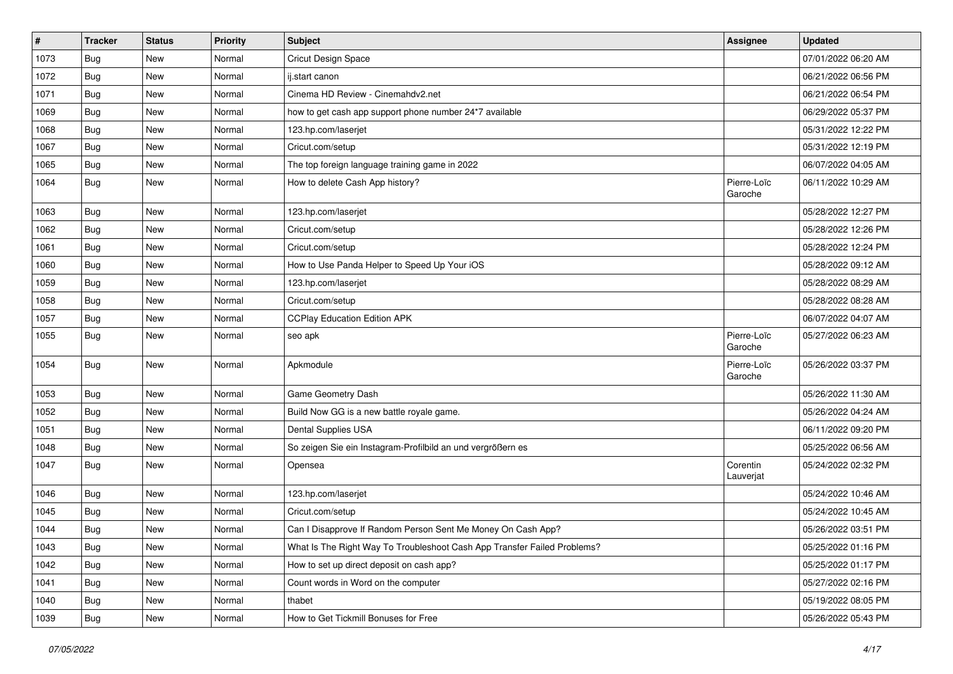| $\sharp$ | <b>Tracker</b> | <b>Status</b> | <b>Priority</b> | <b>Subject</b>                                                           | Assignee               | <b>Updated</b>      |
|----------|----------------|---------------|-----------------|--------------------------------------------------------------------------|------------------------|---------------------|
| 1073     | Bug            | New           | Normal          | Cricut Design Space                                                      |                        | 07/01/2022 06:20 AM |
| 1072     | Bug            | New           | Normal          | ij.start canon                                                           |                        | 06/21/2022 06:56 PM |
| 1071     | Bug            | New           | Normal          | Cinema HD Review - Cinemahdv2.net                                        |                        | 06/21/2022 06:54 PM |
| 1069     | Bug            | New           | Normal          | how to get cash app support phone number 24*7 available                  |                        | 06/29/2022 05:37 PM |
| 1068     | <b>Bug</b>     | New           | Normal          | 123.hp.com/laserjet                                                      |                        | 05/31/2022 12:22 PM |
| 1067     | Bug            | New           | Normal          | Cricut.com/setup                                                         |                        | 05/31/2022 12:19 PM |
| 1065     | Bug            | <b>New</b>    | Normal          | The top foreign language training game in 2022                           |                        | 06/07/2022 04:05 AM |
| 1064     | Bug            | New           | Normal          | How to delete Cash App history?                                          | Pierre-Loïc<br>Garoche | 06/11/2022 10:29 AM |
| 1063     | <b>Bug</b>     | New           | Normal          | 123.hp.com/laserjet                                                      |                        | 05/28/2022 12:27 PM |
| 1062     | Bug            | New           | Normal          | Cricut.com/setup                                                         |                        | 05/28/2022 12:26 PM |
| 1061     | Bug            | <b>New</b>    | Normal          | Cricut.com/setup                                                         |                        | 05/28/2022 12:24 PM |
| 1060     | <b>Bug</b>     | New           | Normal          | How to Use Panda Helper to Speed Up Your iOS                             |                        | 05/28/2022 09:12 AM |
| 1059     | Bug            | New           | Normal          | 123.hp.com/laserjet                                                      |                        | 05/28/2022 08:29 AM |
| 1058     | Bug            | <b>New</b>    | Normal          | Cricut.com/setup                                                         |                        | 05/28/2022 08:28 AM |
| 1057     | Bug            | New           | Normal          | <b>CCPlay Education Edition APK</b>                                      |                        | 06/07/2022 04:07 AM |
| 1055     | Bug            | New           | Normal          | seo apk                                                                  | Pierre-Loïc<br>Garoche | 05/27/2022 06:23 AM |
| 1054     | Bug            | New           | Normal          | Apkmodule                                                                | Pierre-Loïc<br>Garoche | 05/26/2022 03:37 PM |
| 1053     | Bug            | New           | Normal          | Game Geometry Dash                                                       |                        | 05/26/2022 11:30 AM |
| 1052     | Bug            | New           | Normal          | Build Now GG is a new battle royale game.                                |                        | 05/26/2022 04:24 AM |
| 1051     | Bug            | <b>New</b>    | Normal          | Dental Supplies USA                                                      |                        | 06/11/2022 09:20 PM |
| 1048     | Bug            | New           | Normal          | So zeigen Sie ein Instagram-Profilbild an und vergrößern es              |                        | 05/25/2022 06:56 AM |
| 1047     | Bug            | New           | Normal          | Opensea                                                                  | Corentin<br>Lauverjat  | 05/24/2022 02:32 PM |
| 1046     | Bug            | New           | Normal          | 123.hp.com/laserjet                                                      |                        | 05/24/2022 10:46 AM |
| 1045     | Bug            | <b>New</b>    | Normal          | Cricut.com/setup                                                         |                        | 05/24/2022 10:45 AM |
| 1044     | Bug            | New           | Normal          | Can I Disapprove If Random Person Sent Me Money On Cash App?             |                        | 05/26/2022 03:51 PM |
| 1043     | <b>Bug</b>     | New           | Normal          | What Is The Right Way To Troubleshoot Cash App Transfer Failed Problems? |                        | 05/25/2022 01:16 PM |
| 1042     | <b>Bug</b>     | New           | Normal          | How to set up direct deposit on cash app?                                |                        | 05/25/2022 01:17 PM |
| 1041     | <b>Bug</b>     | New           | Normal          | Count words in Word on the computer                                      |                        | 05/27/2022 02:16 PM |
| 1040     | <b>Bug</b>     | New           | Normal          | thabet                                                                   |                        | 05/19/2022 08:05 PM |
| 1039     | Bug            | New           | Normal          | How to Get Tickmill Bonuses for Free                                     |                        | 05/26/2022 05:43 PM |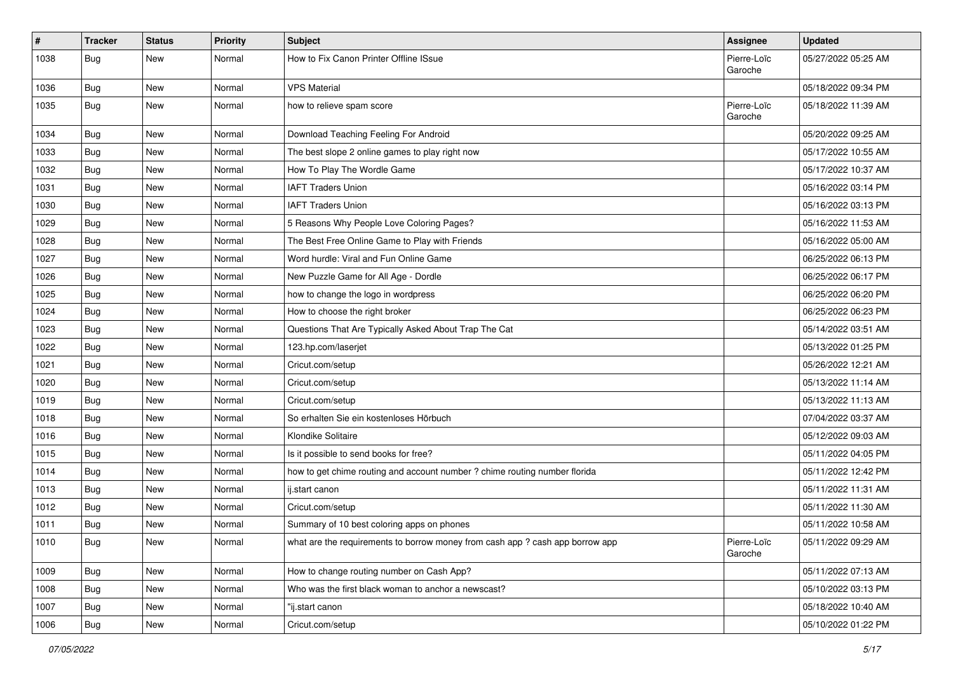| #    | <b>Tracker</b> | <b>Status</b> | <b>Priority</b> | <b>Subject</b>                                                               | <b>Assignee</b>        | <b>Updated</b>      |
|------|----------------|---------------|-----------------|------------------------------------------------------------------------------|------------------------|---------------------|
| 1038 | <b>Bug</b>     | New           | Normal          | How to Fix Canon Printer Offline ISsue                                       | Pierre-Loïc<br>Garoche | 05/27/2022 05:25 AM |
| 1036 | Bug            | New           | Normal          | <b>VPS Material</b>                                                          |                        | 05/18/2022 09:34 PM |
| 1035 | Bug            | New           | Normal          | how to relieve spam score                                                    | Pierre-Loïc<br>Garoche | 05/18/2022 11:39 AM |
| 1034 | <b>Bug</b>     | New           | Normal          | Download Teaching Feeling For Android                                        |                        | 05/20/2022 09:25 AM |
| 1033 | Bug            | <b>New</b>    | Normal          | The best slope 2 online games to play right now                              |                        | 05/17/2022 10:55 AM |
| 1032 | Bug            | New           | Normal          | How To Play The Wordle Game                                                  |                        | 05/17/2022 10:37 AM |
| 1031 | <b>Bug</b>     | <b>New</b>    | Normal          | <b>IAFT Traders Union</b>                                                    |                        | 05/16/2022 03:14 PM |
| 1030 | Bug            | New           | Normal          | <b>IAFT Traders Union</b>                                                    |                        | 05/16/2022 03:13 PM |
| 1029 | <b>Bug</b>     | New           | Normal          | 5 Reasons Why People Love Coloring Pages?                                    |                        | 05/16/2022 11:53 AM |
| 1028 | Bug            | <b>New</b>    | Normal          | The Best Free Online Game to Play with Friends                               |                        | 05/16/2022 05:00 AM |
| 1027 | Bug            | New           | Normal          | Word hurdle: Viral and Fun Online Game                                       |                        | 06/25/2022 06:13 PM |
| 1026 | <b>Bug</b>     | New           | Normal          | New Puzzle Game for All Age - Dordle                                         |                        | 06/25/2022 06:17 PM |
| 1025 | Bug            | <b>New</b>    | Normal          | how to change the logo in wordpress                                          |                        | 06/25/2022 06:20 PM |
| 1024 | <b>Bug</b>     | New           | Normal          | How to choose the right broker                                               |                        | 06/25/2022 06:23 PM |
| 1023 | Bug            | New           | Normal          | Questions That Are Typically Asked About Trap The Cat                        |                        | 05/14/2022 03:51 AM |
| 1022 | Bug            | New           | Normal          | 123.hp.com/laserjet                                                          |                        | 05/13/2022 01:25 PM |
| 1021 | Bug            | New           | Normal          | Cricut.com/setup                                                             |                        | 05/26/2022 12:21 AM |
| 1020 | <b>Bug</b>     | <b>New</b>    | Normal          | Cricut.com/setup                                                             |                        | 05/13/2022 11:14 AM |
| 1019 | <b>Bug</b>     | New           | Normal          | Cricut.com/setup                                                             |                        | 05/13/2022 11:13 AM |
| 1018 | <b>Bug</b>     | New           | Normal          | So erhalten Sie ein kostenloses Hörbuch                                      |                        | 07/04/2022 03:37 AM |
| 1016 | Bug            | <b>New</b>    | Normal          | Klondike Solitaire                                                           |                        | 05/12/2022 09:03 AM |
| 1015 | Bug            | New           | Normal          | Is it possible to send books for free?                                       |                        | 05/11/2022 04:05 PM |
| 1014 | Bug            | <b>New</b>    | Normal          | how to get chime routing and account number ? chime routing number florida   |                        | 05/11/2022 12:42 PM |
| 1013 | <b>Bug</b>     | New           | Normal          | ij.start canon                                                               |                        | 05/11/2022 11:31 AM |
| 1012 | <b>Bug</b>     | <b>New</b>    | Normal          | Cricut.com/setup                                                             |                        | 05/11/2022 11:30 AM |
| 1011 | <b>Bug</b>     | <b>New</b>    | Normal          | Summary of 10 best coloring apps on phones                                   |                        | 05/11/2022 10:58 AM |
| 1010 | Bug            | New           | Normal          | what are the requirements to borrow money from cash app? cash app borrow app | Pierre-Loïc<br>Garoche | 05/11/2022 09:29 AM |
| 1009 | Bug            | New           | Normal          | How to change routing number on Cash App?                                    |                        | 05/11/2022 07:13 AM |
| 1008 | Bug            | New           | Normal          | Who was the first black woman to anchor a newscast?                          |                        | 05/10/2022 03:13 PM |
| 1007 | Bug            | New           | Normal          | "ij.start canon                                                              |                        | 05/18/2022 10:40 AM |
| 1006 | <b>Bug</b>     | New           | Normal          | Cricut.com/setup                                                             |                        | 05/10/2022 01:22 PM |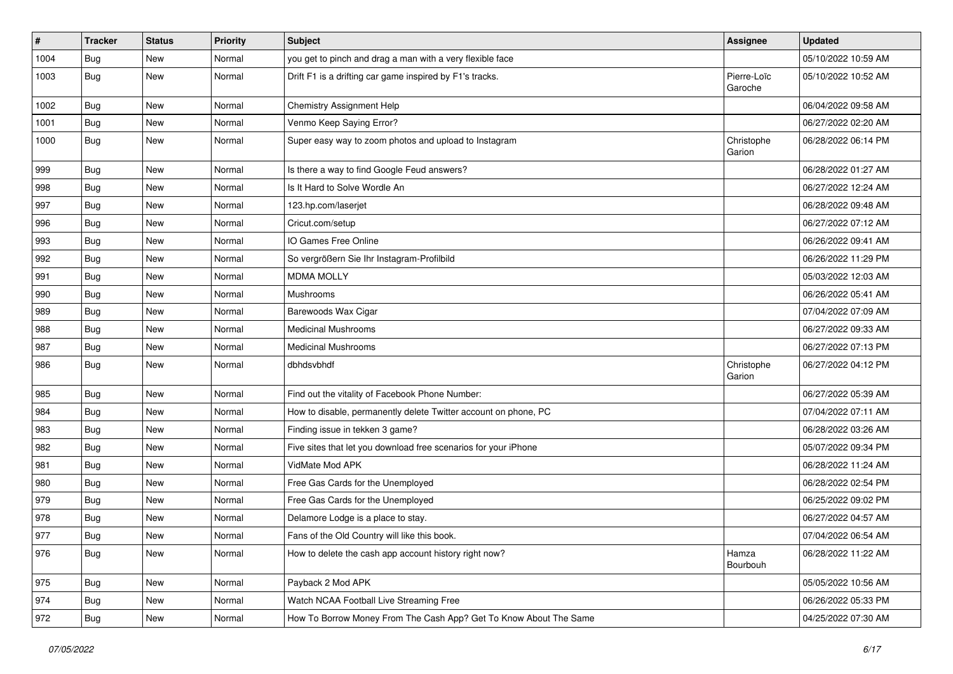| $\vert$ # | <b>Tracker</b> | <b>Status</b> | <b>Priority</b> | <b>Subject</b>                                                    | Assignee               | <b>Updated</b>      |
|-----------|----------------|---------------|-----------------|-------------------------------------------------------------------|------------------------|---------------------|
| 1004      | <b>Bug</b>     | New           | Normal          | you get to pinch and drag a man with a very flexible face         |                        | 05/10/2022 10:59 AM |
| 1003      | <b>Bug</b>     | <b>New</b>    | Normal          | Drift F1 is a drifting car game inspired by F1's tracks.          | Pierre-Loïc<br>Garoche | 05/10/2022 10:52 AM |
| 1002      | Bug            | <b>New</b>    | Normal          | <b>Chemistry Assignment Help</b>                                  |                        | 06/04/2022 09:58 AM |
| 1001      | Bug            | <b>New</b>    | Normal          | Venmo Keep Saying Error?                                          |                        | 06/27/2022 02:20 AM |
| 1000      | <b>Bug</b>     | New           | Normal          | Super easy way to zoom photos and upload to Instagram             | Christophe<br>Garion   | 06/28/2022 06:14 PM |
| 999       | Bug            | New           | Normal          | Is there a way to find Google Feud answers?                       |                        | 06/28/2022 01:27 AM |
| 998       | <b>Bug</b>     | New           | Normal          | Is It Hard to Solve Wordle An                                     |                        | 06/27/2022 12:24 AM |
| 997       | Bug            | <b>New</b>    | Normal          | 123.hp.com/laserjet                                               |                        | 06/28/2022 09:48 AM |
| 996       | <b>Bug</b>     | New           | Normal          | Cricut.com/setup                                                  |                        | 06/27/2022 07:12 AM |
| 993       | Bug            | <b>New</b>    | Normal          | IO Games Free Online                                              |                        | 06/26/2022 09:41 AM |
| 992       | Bug            | New           | Normal          | So vergrößern Sie Ihr Instagram-Profilbild                        |                        | 06/26/2022 11:29 PM |
| 991       | <b>Bug</b>     | New           | Normal          | <b>MDMA MOLLY</b>                                                 |                        | 05/03/2022 12:03 AM |
| 990       | Bug            | <b>New</b>    | Normal          | Mushrooms                                                         |                        | 06/26/2022 05:41 AM |
| 989       | Bug            | New           | Normal          | Barewoods Wax Cigar                                               |                        | 07/04/2022 07:09 AM |
| 988       | Bug            | <b>New</b>    | Normal          | <b>Medicinal Mushrooms</b>                                        |                        | 06/27/2022 09:33 AM |
| 987       | Bug            | <b>New</b>    | Normal          | <b>Medicinal Mushrooms</b>                                        |                        | 06/27/2022 07:13 PM |
| 986       | <b>Bug</b>     | New           | Normal          | dbhdsvbhdf                                                        | Christophe<br>Garion   | 06/27/2022 04:12 PM |
| 985       | Bug            | New           | Normal          | Find out the vitality of Facebook Phone Number:                   |                        | 06/27/2022 05:39 AM |
| 984       | Bug            | New           | Normal          | How to disable, permanently delete Twitter account on phone, PC   |                        | 07/04/2022 07:11 AM |
| 983       | Bug            | <b>New</b>    | Normal          | Finding issue in tekken 3 game?                                   |                        | 06/28/2022 03:26 AM |
| 982       | <b>Bug</b>     | New           | Normal          | Five sites that let you download free scenarios for your iPhone   |                        | 05/07/2022 09:34 PM |
| 981       | <b>Bug</b>     | <b>New</b>    | Normal          | VidMate Mod APK                                                   |                        | 06/28/2022 11:24 AM |
| 980       | Bug            | New           | Normal          | Free Gas Cards for the Unemployed                                 |                        | 06/28/2022 02:54 PM |
| 979       | Bug            | New           | Normal          | Free Gas Cards for the Unemployed                                 |                        | 06/25/2022 09:02 PM |
| 978       | <b>Bug</b>     | <b>New</b>    | Normal          | Delamore Lodge is a place to stay.                                |                        | 06/27/2022 04:57 AM |
| 977       | Bug            | New           | Normal          | Fans of the Old Country will like this book.                      |                        | 07/04/2022 06:54 AM |
| 976       | <b>Bug</b>     | New           | Normal          | How to delete the cash app account history right now?             | Hamza<br>Bourbouh      | 06/28/2022 11:22 AM |
| 975       | Bug            | New           | Normal          | Payback 2 Mod APK                                                 |                        | 05/05/2022 10:56 AM |
| 974       | Bug            | New           | Normal          | Watch NCAA Football Live Streaming Free                           |                        | 06/26/2022 05:33 PM |
| 972       | Bug            | New           | Normal          | How To Borrow Money From The Cash App? Get To Know About The Same |                        | 04/25/2022 07:30 AM |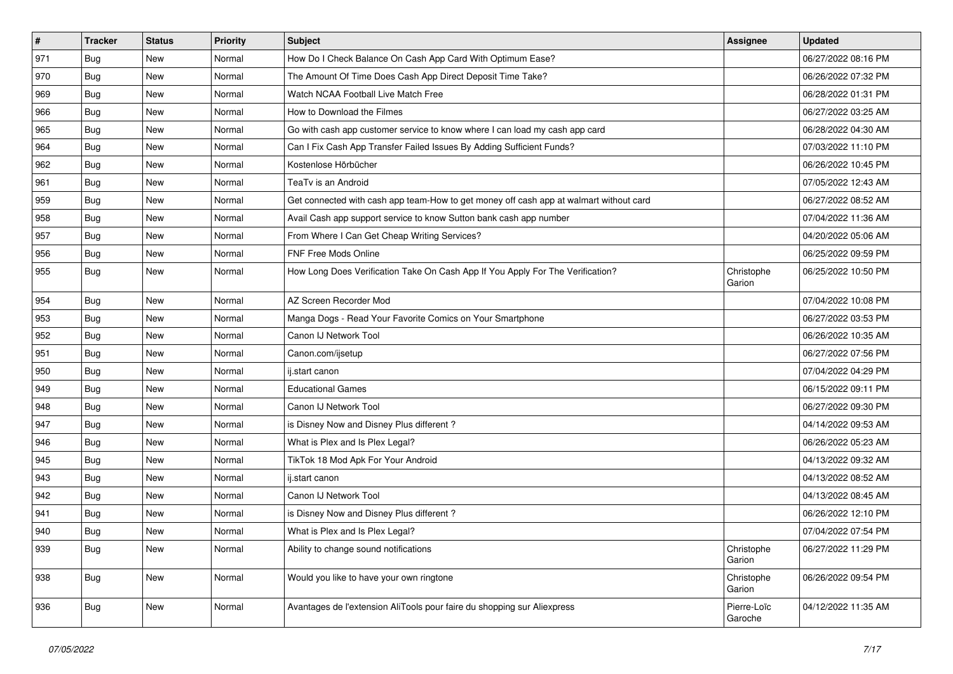| $\vert$ # | <b>Tracker</b> | <b>Status</b> | <b>Priority</b> | <b>Subject</b>                                                                         | Assignee               | <b>Updated</b>      |
|-----------|----------------|---------------|-----------------|----------------------------------------------------------------------------------------|------------------------|---------------------|
| 971       | <b>Bug</b>     | New           | Normal          | How Do I Check Balance On Cash App Card With Optimum Ease?                             |                        | 06/27/2022 08:16 PM |
| 970       | <b>Bug</b>     | New           | Normal          | The Amount Of Time Does Cash App Direct Deposit Time Take?                             |                        | 06/26/2022 07:32 PM |
| 969       | Bug            | New           | Normal          | Watch NCAA Football Live Match Free                                                    |                        | 06/28/2022 01:31 PM |
| 966       | <b>Bug</b>     | New           | Normal          | How to Download the Filmes                                                             |                        | 06/27/2022 03:25 AM |
| 965       | Bug            | <b>New</b>    | Normal          | Go with cash app customer service to know where I can load my cash app card            |                        | 06/28/2022 04:30 AM |
| 964       | <b>Bug</b>     | New           | Normal          | Can I Fix Cash App Transfer Failed Issues By Adding Sufficient Funds?                  |                        | 07/03/2022 11:10 PM |
| 962       | Bug            | New           | Normal          | Kostenlose Hörbücher                                                                   |                        | 06/26/2022 10:45 PM |
| 961       | <b>Bug</b>     | New           | Normal          | TeaTv is an Android                                                                    |                        | 07/05/2022 12:43 AM |
| 959       | <b>Bug</b>     | New           | Normal          | Get connected with cash app team-How to get money off cash app at walmart without card |                        | 06/27/2022 08:52 AM |
| 958       | Bug            | New           | Normal          | Avail Cash app support service to know Sutton bank cash app number                     |                        | 07/04/2022 11:36 AM |
| 957       | <b>Bug</b>     | New           | Normal          | From Where I Can Get Cheap Writing Services?                                           |                        | 04/20/2022 05:06 AM |
| 956       | Bug            | New           | Normal          | FNF Free Mods Online                                                                   |                        | 06/25/2022 09:59 PM |
| 955       | Bug            | New           | Normal          | How Long Does Verification Take On Cash App If You Apply For The Verification?         | Christophe<br>Garion   | 06/25/2022 10:50 PM |
| 954       | Bug            | New           | Normal          | AZ Screen Recorder Mod                                                                 |                        | 07/04/2022 10:08 PM |
| 953       | <b>Bug</b>     | New           | Normal          | Manga Dogs - Read Your Favorite Comics on Your Smartphone                              |                        | 06/27/2022 03:53 PM |
| 952       | Bug            | New           | Normal          | Canon IJ Network Tool                                                                  |                        | 06/26/2022 10:35 AM |
| 951       | Bug            | <b>New</b>    | Normal          | Canon.com/ijsetup                                                                      |                        | 06/27/2022 07:56 PM |
| 950       | Bug            | New           | Normal          | ij.start canon                                                                         |                        | 07/04/2022 04:29 PM |
| 949       | Bug            | New           | Normal          | <b>Educational Games</b>                                                               |                        | 06/15/2022 09:11 PM |
| 948       | Bug            | New           | Normal          | Canon IJ Network Tool                                                                  |                        | 06/27/2022 09:30 PM |
| 947       | Bug            | <b>New</b>    | Normal          | is Disney Now and Disney Plus different?                                               |                        | 04/14/2022 09:53 AM |
| 946       | <b>Bug</b>     | New           | Normal          | What is Plex and Is Plex Legal?                                                        |                        | 06/26/2022 05:23 AM |
| 945       | Bug            | New           | Normal          | TikTok 18 Mod Apk For Your Android                                                     |                        | 04/13/2022 09:32 AM |
| 943       | Bug            | New           | Normal          | ij.start canon                                                                         |                        | 04/13/2022 08:52 AM |
| 942       | Bug            | New           | Normal          | Canon IJ Network Tool                                                                  |                        | 04/13/2022 08:45 AM |
| 941       | <b>Bug</b>     | New           | Normal          | is Disney Now and Disney Plus different?                                               |                        | 06/26/2022 12:10 PM |
| 940       | <b>Bug</b>     | New           | Normal          | What is Plex and Is Plex Legal?                                                        |                        | 07/04/2022 07:54 PM |
| 939       | <b>Bug</b>     | New           | Normal          | Ability to change sound notifications                                                  | Christophe<br>Garion   | 06/27/2022 11:29 PM |
| 938       | Bug            | New           | Normal          | Would you like to have your own ringtone                                               | Christophe<br>Garion   | 06/26/2022 09:54 PM |
| 936       | Bug            | New           | Normal          | Avantages de l'extension AliTools pour faire du shopping sur Aliexpress                | Pierre-Loïc<br>Garoche | 04/12/2022 11:35 AM |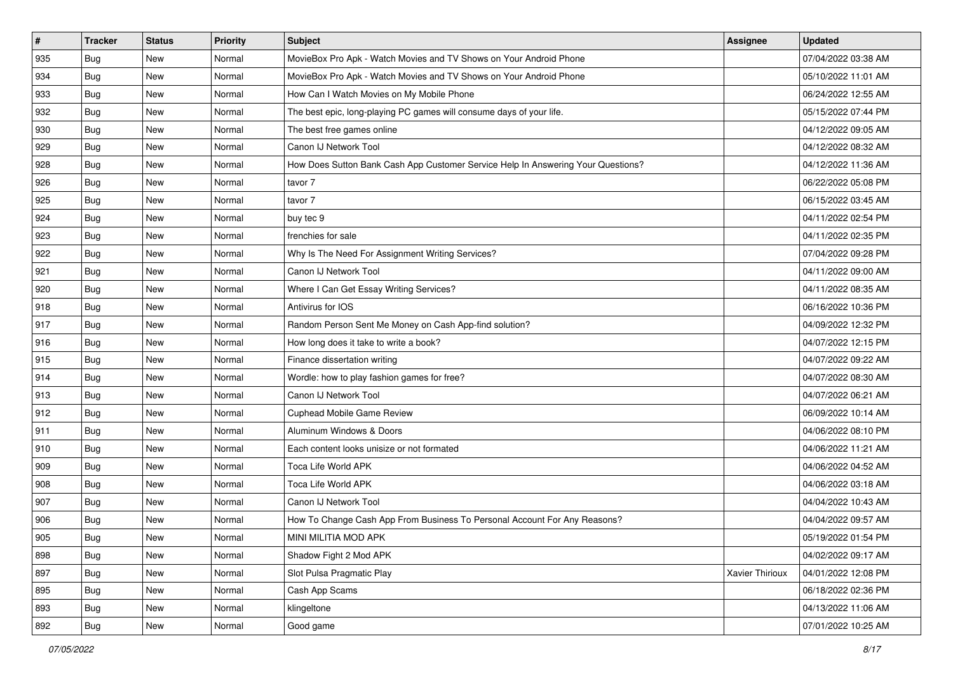| #   | <b>Tracker</b> | <b>Status</b> | <b>Priority</b> | <b>Subject</b>                                                                   | <b>Assignee</b> | <b>Updated</b>      |
|-----|----------------|---------------|-----------------|----------------------------------------------------------------------------------|-----------------|---------------------|
| 935 | <b>Bug</b>     | New           | Normal          | MovieBox Pro Apk - Watch Movies and TV Shows on Your Android Phone               |                 | 07/04/2022 03:38 AM |
| 934 | <b>Bug</b>     | <b>New</b>    | Normal          | MovieBox Pro Apk - Watch Movies and TV Shows on Your Android Phone               |                 | 05/10/2022 11:01 AM |
| 933 | Bug            | New           | Normal          | How Can I Watch Movies on My Mobile Phone                                        |                 | 06/24/2022 12:55 AM |
| 932 | Bug            | <b>New</b>    | Normal          | The best epic, long-playing PC games will consume days of your life.             |                 | 05/15/2022 07:44 PM |
| 930 | Bug            | <b>New</b>    | Normal          | The best free games online                                                       |                 | 04/12/2022 09:05 AM |
| 929 | <b>Bug</b>     | New           | Normal          | Canon IJ Network Tool                                                            |                 | 04/12/2022 08:32 AM |
| 928 | Bug            | <b>New</b>    | Normal          | How Does Sutton Bank Cash App Customer Service Help In Answering Your Questions? |                 | 04/12/2022 11:36 AM |
| 926 | <b>Bug</b>     | New           | Normal          | tavor 7                                                                          |                 | 06/22/2022 05:08 PM |
| 925 | Bug            | New           | Normal          | tavor 7                                                                          |                 | 06/15/2022 03:45 AM |
| 924 | Bug            | <b>New</b>    | Normal          | buy tec 9                                                                        |                 | 04/11/2022 02:54 PM |
| 923 | <b>Bug</b>     | New           | Normal          | frenchies for sale                                                               |                 | 04/11/2022 02:35 PM |
| 922 | Bug            | New           | Normal          | Why Is The Need For Assignment Writing Services?                                 |                 | 07/04/2022 09:28 PM |
| 921 | Bug            | <b>New</b>    | Normal          | Canon IJ Network Tool                                                            |                 | 04/11/2022 09:00 AM |
| 920 | Bug            | New           | Normal          | Where I Can Get Essay Writing Services?                                          |                 | 04/11/2022 08:35 AM |
| 918 | <b>Bug</b>     | <b>New</b>    | Normal          | Antivirus for IOS                                                                |                 | 06/16/2022 10:36 PM |
| 917 | Bug            | New           | Normal          | Random Person Sent Me Money on Cash App-find solution?                           |                 | 04/09/2022 12:32 PM |
| 916 | Bug            | <b>New</b>    | Normal          | How long does it take to write a book?                                           |                 | 04/07/2022 12:15 PM |
| 915 | Bug            | <b>New</b>    | Normal          | Finance dissertation writing                                                     |                 | 04/07/2022 09:22 AM |
| 914 | <b>Bug</b>     | New           | Normal          | Wordle: how to play fashion games for free?                                      |                 | 04/07/2022 08:30 AM |
| 913 | Bug            | <b>New</b>    | Normal          | Canon IJ Network Tool                                                            |                 | 04/07/2022 06:21 AM |
| 912 | Bug            | New           | Normal          | <b>Cuphead Mobile Game Review</b>                                                |                 | 06/09/2022 10:14 AM |
| 911 | Bug            | <b>New</b>    | Normal          | Aluminum Windows & Doors                                                         |                 | 04/06/2022 08:10 PM |
| 910 | Bug            | <b>New</b>    | Normal          | Each content looks unisize or not formated                                       |                 | 04/06/2022 11:21 AM |
| 909 | <b>Bug</b>     | New           | Normal          | Toca Life World APK                                                              |                 | 04/06/2022 04:52 AM |
| 908 | Bug            | <b>New</b>    | Normal          | Toca Life World APK                                                              |                 | 04/06/2022 03:18 AM |
| 907 | Bug            | <b>New</b>    | Normal          | Canon IJ Network Tool                                                            |                 | 04/04/2022 10:43 AM |
| 906 | <b>Bug</b>     | New           | Normal          | How To Change Cash App From Business To Personal Account For Any Reasons?        |                 | 04/04/2022 09:57 AM |
| 905 | Bug            | New           | Normal          | MINI MILITIA MOD APK                                                             |                 | 05/19/2022 01:54 PM |
| 898 | Bug            | New           | Normal          | Shadow Fight 2 Mod APK                                                           |                 | 04/02/2022 09:17 AM |
| 897 | Bug            | New           | Normal          | Slot Pulsa Pragmatic Play                                                        | Xavier Thirioux | 04/01/2022 12:08 PM |
| 895 | Bug            | New           | Normal          | Cash App Scams                                                                   |                 | 06/18/2022 02:36 PM |
| 893 | Bug            | New           | Normal          | klingeltone                                                                      |                 | 04/13/2022 11:06 AM |
| 892 | <b>Bug</b>     | New           | Normal          | Good game                                                                        |                 | 07/01/2022 10:25 AM |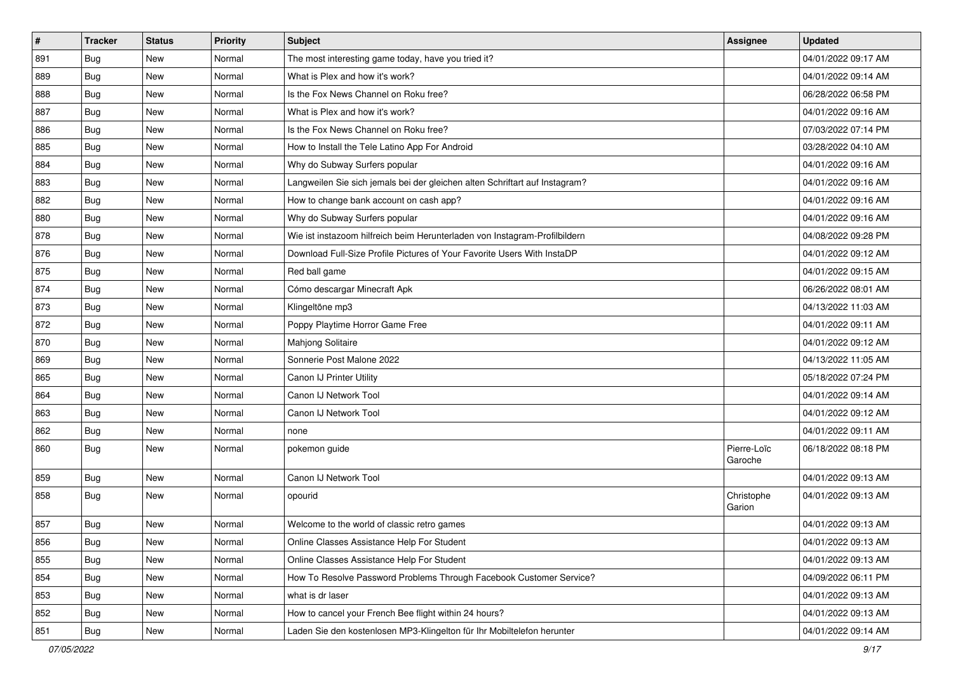| $\vert$ # | <b>Tracker</b> | <b>Status</b> | <b>Priority</b> | <b>Subject</b>                                                              | <b>Assignee</b>        | <b>Updated</b>      |
|-----------|----------------|---------------|-----------------|-----------------------------------------------------------------------------|------------------------|---------------------|
| 891       | <b>Bug</b>     | New           | Normal          | The most interesting game today, have you tried it?                         |                        | 04/01/2022 09:17 AM |
| 889       | Bug            | <b>New</b>    | Normal          | What is Plex and how it's work?                                             |                        | 04/01/2022 09:14 AM |
| 888       | Bug            | New           | Normal          | Is the Fox News Channel on Roku free?                                       |                        | 06/28/2022 06:58 PM |
| 887       | <b>Bug</b>     | <b>New</b>    | Normal          | What is Plex and how it's work?                                             |                        | 04/01/2022 09:16 AM |
| 886       | Bug            | New           | Normal          | Is the Fox News Channel on Roku free?                                       |                        | 07/03/2022 07:14 PM |
| 885       | Bug            | New           | Normal          | How to Install the Tele Latino App For Android                              |                        | 03/28/2022 04:10 AM |
| 884       | Bug            | <b>New</b>    | Normal          | Why do Subway Surfers popular                                               |                        | 04/01/2022 09:16 AM |
| 883       | <b>Bug</b>     | New           | Normal          | Langweilen Sie sich jemals bei der gleichen alten Schriftart auf Instagram? |                        | 04/01/2022 09:16 AM |
| 882       | Bug            | <b>New</b>    | Normal          | How to change bank account on cash app?                                     |                        | 04/01/2022 09:16 AM |
| 880       | Bug            | New           | Normal          | Why do Subway Surfers popular                                               |                        | 04/01/2022 09:16 AM |
| 878       | <b>Bug</b>     | New           | Normal          | Wie ist instazoom hilfreich beim Herunterladen von Instagram-Profilbildern  |                        | 04/08/2022 09:28 PM |
| 876       | Bug            | <b>New</b>    | Normal          | Download Full-Size Profile Pictures of Your Favorite Users With InstaDP     |                        | 04/01/2022 09:12 AM |
| 875       | Bug            | <b>New</b>    | Normal          | Red ball game                                                               |                        | 04/01/2022 09:15 AM |
| 874       | <b>Bug</b>     | New           | Normal          | Cómo descargar Minecraft Apk                                                |                        | 06/26/2022 08:01 AM |
| 873       | <b>Bug</b>     | <b>New</b>    | Normal          | Klingeltöne mp3                                                             |                        | 04/13/2022 11:03 AM |
| 872       | Bug            | New           | Normal          | Poppy Playtime Horror Game Free                                             |                        | 04/01/2022 09:11 AM |
| 870       | <b>Bug</b>     | <b>New</b>    | Normal          | Mahjong Solitaire                                                           |                        | 04/01/2022 09:12 AM |
| 869       | Bug            | <b>New</b>    | Normal          | Sonnerie Post Malone 2022                                                   |                        | 04/13/2022 11:05 AM |
| 865       | <b>Bug</b>     | New           | Normal          | Canon IJ Printer Utility                                                    |                        | 05/18/2022 07:24 PM |
| 864       | Bug            | <b>New</b>    | Normal          | Canon IJ Network Tool                                                       |                        | 04/01/2022 09:14 AM |
| 863       | Bug            | New           | Normal          | Canon IJ Network Tool                                                       |                        | 04/01/2022 09:12 AM |
| 862       | Bug            | <b>New</b>    | Normal          | none                                                                        |                        | 04/01/2022 09:11 AM |
| 860       | <b>Bug</b>     | <b>New</b>    | Normal          | pokemon guide                                                               | Pierre-Loïc<br>Garoche | 06/18/2022 08:18 PM |
| 859       | Bug            | <b>New</b>    | Normal          | Canon IJ Network Tool                                                       |                        | 04/01/2022 09:13 AM |
| 858       | <b>Bug</b>     | <b>New</b>    | Normal          | opourid                                                                     | Christophe<br>Garion   | 04/01/2022 09:13 AM |
| 857       | <b>Bug</b>     | <b>New</b>    | Normal          | Welcome to the world of classic retro games                                 |                        | 04/01/2022 09:13 AM |
| 856       | Bug            | New           | Normal          | Online Classes Assistance Help For Student                                  |                        | 04/01/2022 09:13 AM |
| 855       | Bug            | New           | Normal          | Online Classes Assistance Help For Student                                  |                        | 04/01/2022 09:13 AM |
| 854       | Bug            | New           | Normal          | How To Resolve Password Problems Through Facebook Customer Service?         |                        | 04/09/2022 06:11 PM |
| 853       | <b>Bug</b>     | New           | Normal          | what is dr laser                                                            |                        | 04/01/2022 09:13 AM |
| 852       | <b>Bug</b>     | New           | Normal          | How to cancel your French Bee flight within 24 hours?                       |                        | 04/01/2022 09:13 AM |
| 851       | <b>Bug</b>     | New           | Normal          | Laden Sie den kostenlosen MP3-Klingelton für Ihr Mobiltelefon herunter      |                        | 04/01/2022 09:14 AM |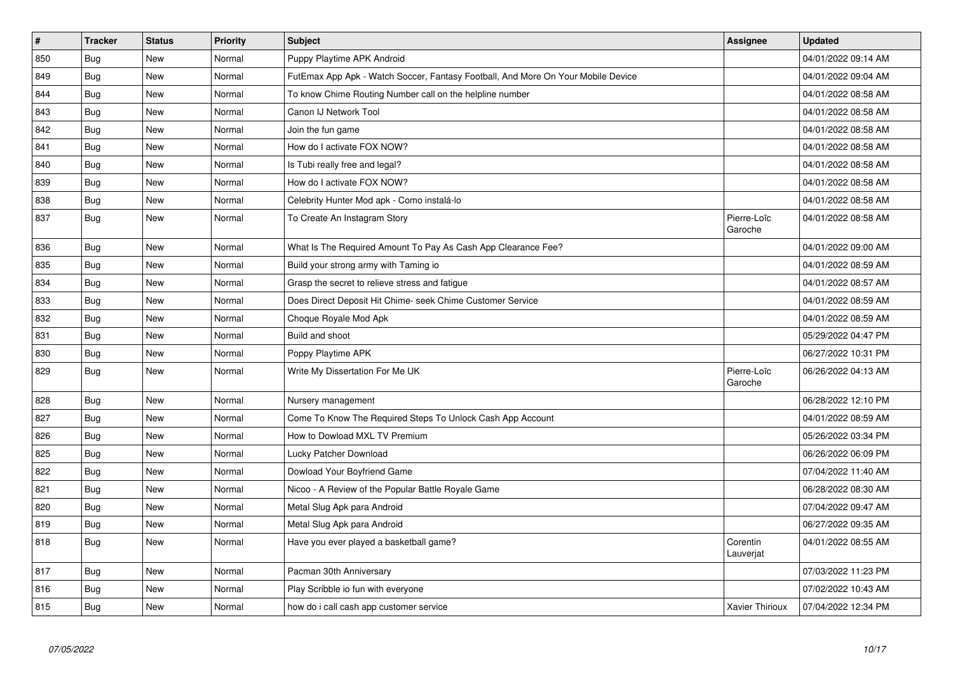| $\vert$ # | <b>Tracker</b> | <b>Status</b> | <b>Priority</b> | <b>Subject</b>                                                                   | <b>Assignee</b>        | <b>Updated</b>      |
|-----------|----------------|---------------|-----------------|----------------------------------------------------------------------------------|------------------------|---------------------|
| 850       | Bug            | <b>New</b>    | Normal          | Puppy Playtime APK Android                                                       |                        | 04/01/2022 09:14 AM |
| 849       | Bug            | New           | Normal          | FutEmax App Apk - Watch Soccer, Fantasy Football, And More On Your Mobile Device |                        | 04/01/2022 09:04 AM |
| 844       | <b>Bug</b>     | <b>New</b>    | Normal          | To know Chime Routing Number call on the helpline number                         |                        | 04/01/2022 08:58 AM |
| 843       | Bug            | New           | Normal          | Canon IJ Network Tool                                                            |                        | 04/01/2022 08:58 AM |
| 842       | <b>Bug</b>     | New           | Normal          | Join the fun game                                                                |                        | 04/01/2022 08:58 AM |
| 841       | Bug            | New           | Normal          | How do I activate FOX NOW?                                                       |                        | 04/01/2022 08:58 AM |
| 840       | Bug            | New           | Normal          | Is Tubi really free and legal?                                                   |                        | 04/01/2022 08:58 AM |
| 839       | Bug            | New           | Normal          | How do I activate FOX NOW?                                                       |                        | 04/01/2022 08:58 AM |
| 838       | Bug            | <b>New</b>    | Normal          | Celebrity Hunter Mod apk - Como instalá-lo                                       |                        | 04/01/2022 08:58 AM |
| 837       | <b>Bug</b>     | New           | Normal          | To Create An Instagram Story                                                     | Pierre-Loïc<br>Garoche | 04/01/2022 08:58 AM |
| 836       | <b>Bug</b>     | <b>New</b>    | Normal          | What Is The Required Amount To Pay As Cash App Clearance Fee?                    |                        | 04/01/2022 09:00 AM |
| 835       | Bug            | New           | Normal          | Build your strong army with Taming io                                            |                        | 04/01/2022 08:59 AM |
| 834       | <b>Bug</b>     | New           | Normal          | Grasp the secret to relieve stress and fatigue                                   |                        | 04/01/2022 08:57 AM |
| 833       | <b>Bug</b>     | <b>New</b>    | Normal          | Does Direct Deposit Hit Chime- seek Chime Customer Service                       |                        | 04/01/2022 08:59 AM |
| 832       | <b>Bug</b>     | <b>New</b>    | Normal          | Choque Royale Mod Apk                                                            |                        | 04/01/2022 08:59 AM |
| 831       | Bug            | New           | Normal          | Build and shoot                                                                  |                        | 05/29/2022 04:47 PM |
| 830       | Bug            | New           | Normal          | Poppy Playtime APK                                                               |                        | 06/27/2022 10:31 PM |
| 829       | <b>Bug</b>     | New           | Normal          | Write My Dissertation For Me UK                                                  | Pierre-Loïc<br>Garoche | 06/26/2022 04:13 AM |
| 828       | Bug            | <b>New</b>    | Normal          | Nursery management                                                               |                        | 06/28/2022 12:10 PM |
| 827       | Bug            | New           | Normal          | Come To Know The Required Steps To Unlock Cash App Account                       |                        | 04/01/2022 08:59 AM |
| 826       | <b>Bug</b>     | New           | Normal          | How to Dowload MXL TV Premium                                                    |                        | 05/26/2022 03:34 PM |
| 825       | Bug            | New           | Normal          | Lucky Patcher Download                                                           |                        | 06/26/2022 06:09 PM |
| 822       | <b>Bug</b>     | New           | Normal          | Dowload Your Boyfriend Game                                                      |                        | 07/04/2022 11:40 AM |
| 821       | Bug            | <b>New</b>    | Normal          | Nicoo - A Review of the Popular Battle Royale Game                               |                        | 06/28/2022 08:30 AM |
| 820       | Bug            | New           | Normal          | Metal Slug Apk para Android                                                      |                        | 07/04/2022 09:47 AM |
| 819       | Bug            | New           | Normal          | Metal Slug Apk para Android                                                      |                        | 06/27/2022 09:35 AM |
| 818       | <b>Bug</b>     | <b>New</b>    | Normal          | Have you ever played a basketball game?                                          | Corentin<br>Lauverjat  | 04/01/2022 08:55 AM |
| 817       | <b>Bug</b>     | New           | Normal          | Pacman 30th Anniversary                                                          |                        | 07/03/2022 11:23 PM |
| 816       | <b>Bug</b>     | New           | Normal          | Play Scribble io fun with everyone                                               |                        | 07/02/2022 10:43 AM |
| 815       | Bug            | <b>New</b>    | Normal          | how do i call cash app customer service                                          | <b>Xavier Thirioux</b> | 07/04/2022 12:34 PM |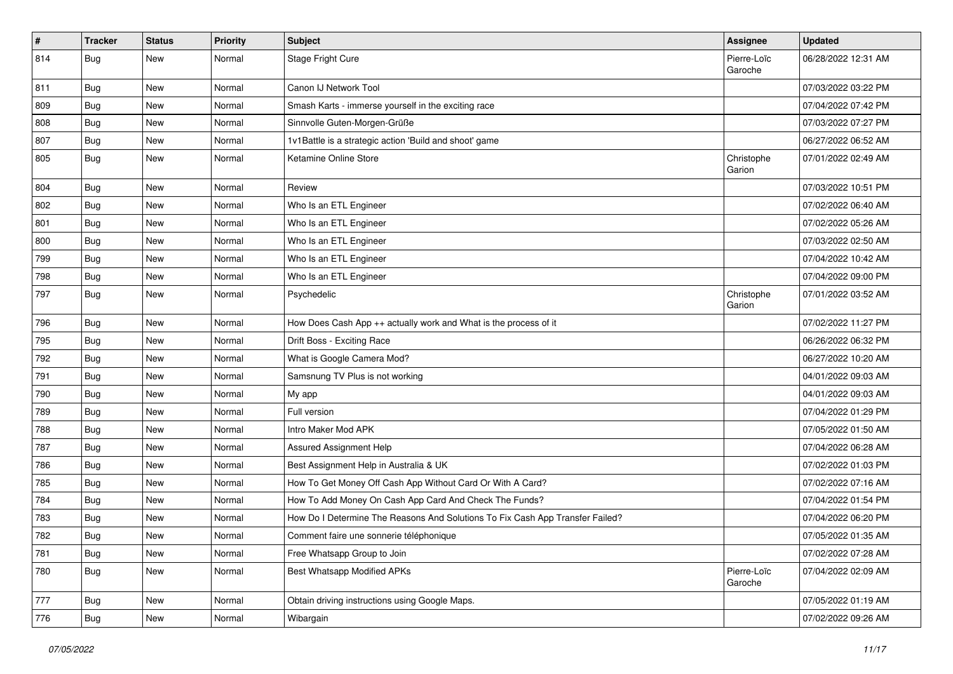| $\pmb{\#}$ | <b>Tracker</b> | <b>Status</b> | <b>Priority</b> | <b>Subject</b>                                                                | Assignee               | <b>Updated</b>      |
|------------|----------------|---------------|-----------------|-------------------------------------------------------------------------------|------------------------|---------------------|
| 814        | <b>Bug</b>     | New           | Normal          | Stage Fright Cure                                                             | Pierre-Loïc<br>Garoche | 06/28/2022 12:31 AM |
| 811        | <b>Bug</b>     | New           | Normal          | Canon IJ Network Tool                                                         |                        | 07/03/2022 03:22 PM |
| 809        | Bug            | New           | Normal          | Smash Karts - immerse yourself in the exciting race                           |                        | 07/04/2022 07:42 PM |
| 808        | Bug            | New           | Normal          | Sinnvolle Guten-Morgen-Grüße                                                  |                        | 07/03/2022 07:27 PM |
| 807        | <b>Bug</b>     | New           | Normal          | 1v1Battle is a strategic action 'Build and shoot' game                        |                        | 06/27/2022 06:52 AM |
| 805        | Bug            | New           | Normal          | Ketamine Online Store                                                         | Christophe<br>Garion   | 07/01/2022 02:49 AM |
| 804        | Bug            | New           | Normal          | Review                                                                        |                        | 07/03/2022 10:51 PM |
| 802        | Bug            | New           | Normal          | Who Is an ETL Engineer                                                        |                        | 07/02/2022 06:40 AM |
| 801        | <b>Bug</b>     | New           | Normal          | Who Is an ETL Engineer                                                        |                        | 07/02/2022 05:26 AM |
| 800        | Bug            | New           | Normal          | Who Is an ETL Engineer                                                        |                        | 07/03/2022 02:50 AM |
| 799        | Bug            | New           | Normal          | Who Is an ETL Engineer                                                        |                        | 07/04/2022 10:42 AM |
| 798        | Bug            | New           | Normal          | Who Is an ETL Engineer                                                        |                        | 07/04/2022 09:00 PM |
| 797        | <b>Bug</b>     | New           | Normal          | Psychedelic                                                                   | Christophe<br>Garion   | 07/01/2022 03:52 AM |
| 796        | <b>Bug</b>     | New           | Normal          | How Does Cash App ++ actually work and What is the process of it              |                        | 07/02/2022 11:27 PM |
| 795        | Bug            | New           | Normal          | Drift Boss - Exciting Race                                                    |                        | 06/26/2022 06:32 PM |
| 792        | <b>Bug</b>     | New           | Normal          | What is Google Camera Mod?                                                    |                        | 06/27/2022 10:20 AM |
| 791        | Bug            | New           | Normal          | Samsnung TV Plus is not working                                               |                        | 04/01/2022 09:03 AM |
| 790        | Bug            | New           | Normal          | My app                                                                        |                        | 04/01/2022 09:03 AM |
| 789        | <b>Bug</b>     | New           | Normal          | Full version                                                                  |                        | 07/04/2022 01:29 PM |
| 788        | Bug            | New           | Normal          | Intro Maker Mod APK                                                           |                        | 07/05/2022 01:50 AM |
| 787        | <b>Bug</b>     | New           | Normal          | Assured Assignment Help                                                       |                        | 07/04/2022 06:28 AM |
| 786        | <b>Bug</b>     | New           | Normal          | Best Assignment Help in Australia & UK                                        |                        | 07/02/2022 01:03 PM |
| 785        | <b>Bug</b>     | New           | Normal          | How To Get Money Off Cash App Without Card Or With A Card?                    |                        | 07/02/2022 07:16 AM |
| 784        | Bug            | New           | Normal          | How To Add Money On Cash App Card And Check The Funds?                        |                        | 07/04/2022 01:54 PM |
| 783        | <b>Bug</b>     | New           | Normal          | How Do I Determine The Reasons And Solutions To Fix Cash App Transfer Failed? |                        | 07/04/2022 06:20 PM |
| 782        | Bug            | New           | Normal          | Comment faire une sonnerie téléphonique                                       |                        | 07/05/2022 01:35 AM |
| 781        | Bug            | New           | Normal          | Free Whatsapp Group to Join                                                   |                        | 07/02/2022 07:28 AM |
| 780        | <b>Bug</b>     | New           | Normal          | <b>Best Whatsapp Modified APKs</b>                                            | Pierre-Loïc<br>Garoche | 07/04/2022 02:09 AM |
| 777        | Bug            | New           | Normal          | Obtain driving instructions using Google Maps.                                |                        | 07/05/2022 01:19 AM |
| 776        | <b>Bug</b>     | New           | Normal          | Wibargain                                                                     |                        | 07/02/2022 09:26 AM |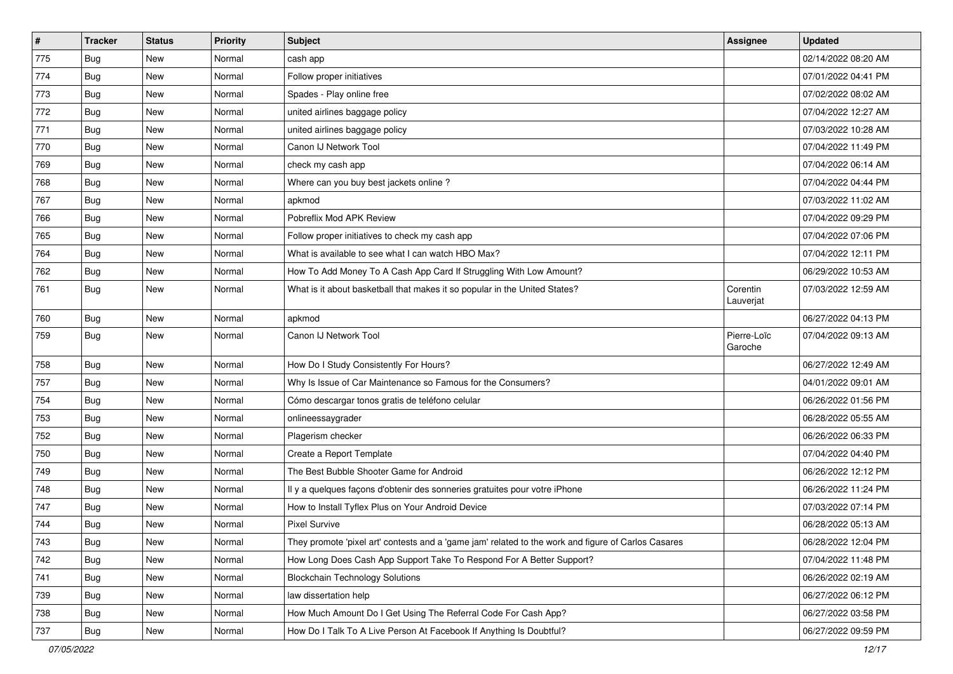| $\pmb{\#}$ | <b>Tracker</b> | <b>Status</b> | <b>Priority</b> | Subject                                                                                             | <b>Assignee</b>        | <b>Updated</b>      |
|------------|----------------|---------------|-----------------|-----------------------------------------------------------------------------------------------------|------------------------|---------------------|
| 775        | <b>Bug</b>     | New           | Normal          | cash app                                                                                            |                        | 02/14/2022 08:20 AM |
| 774        | Bug            | <b>New</b>    | Normal          | Follow proper initiatives                                                                           |                        | 07/01/2022 04:41 PM |
| 773        | <b>Bug</b>     | New           | Normal          | Spades - Play online free                                                                           |                        | 07/02/2022 08:02 AM |
| 772        | <b>Bug</b>     | New           | Normal          | united airlines baggage policy                                                                      |                        | 07/04/2022 12:27 AM |
| 771        | Bug            | New           | Normal          | united airlines baggage policy                                                                      |                        | 07/03/2022 10:28 AM |
| 770        | <b>Bug</b>     | New           | Normal          | Canon IJ Network Tool                                                                               |                        | 07/04/2022 11:49 PM |
| 769        | <b>Bug</b>     | New           | Normal          | check my cash app                                                                                   |                        | 07/04/2022 06:14 AM |
| 768        | Bug            | New           | Normal          | Where can you buy best jackets online?                                                              |                        | 07/04/2022 04:44 PM |
| 767        | <b>Bug</b>     | New           | Normal          | apkmod                                                                                              |                        | 07/03/2022 11:02 AM |
| 766        | Bug            | New           | Normal          | Pobreflix Mod APK Review                                                                            |                        | 07/04/2022 09:29 PM |
| 765        | <b>Bug</b>     | New           | Normal          | Follow proper initiatives to check my cash app                                                      |                        | 07/04/2022 07:06 PM |
| 764        | Bug            | New           | Normal          | What is available to see what I can watch HBO Max?                                                  |                        | 07/04/2022 12:11 PM |
| 762        | Bug            | New           | Normal          | How To Add Money To A Cash App Card If Struggling With Low Amount?                                  |                        | 06/29/2022 10:53 AM |
| 761        | <b>Bug</b>     | New           | Normal          | What is it about basketball that makes it so popular in the United States?                          | Corentin<br>Lauverjat  | 07/03/2022 12:59 AM |
| 760        | Bug            | New           | Normal          | apkmod                                                                                              |                        | 06/27/2022 04:13 PM |
| 759        | Bug            | New           | Normal          | Canon IJ Network Tool                                                                               | Pierre-Loïc<br>Garoche | 07/04/2022 09:13 AM |
| 758        | Bug            | New           | Normal          | How Do I Study Consistently For Hours?                                                              |                        | 06/27/2022 12:49 AM |
| 757        | Bug            | New           | Normal          | Why Is Issue of Car Maintenance so Famous for the Consumers?                                        |                        | 04/01/2022 09:01 AM |
| 754        | Bug            | New           | Normal          | Cómo descargar tonos gratis de teléfono celular                                                     |                        | 06/26/2022 01:56 PM |
| 753        | <b>Bug</b>     | New           | Normal          | onlineessaygrader                                                                                   |                        | 06/28/2022 05:55 AM |
| 752        | Bug            | New           | Normal          | Plagerism checker                                                                                   |                        | 06/26/2022 06:33 PM |
| 750        | Bug            | New           | Normal          | Create a Report Template                                                                            |                        | 07/04/2022 04:40 PM |
| 749        | <b>Bug</b>     | New           | Normal          | The Best Bubble Shooter Game for Android                                                            |                        | 06/26/2022 12:12 PM |
| 748        | Bug            | New           | Normal          | Il y a quelques façons d'obtenir des sonneries gratuites pour votre iPhone                          |                        | 06/26/2022 11:24 PM |
| 747        | <b>Bug</b>     | New           | Normal          | How to Install Tyflex Plus on Your Android Device                                                   |                        | 07/03/2022 07:14 PM |
| 744        | <b>Bug</b>     | <b>New</b>    | Normal          | <b>Pixel Survive</b>                                                                                |                        | 06/28/2022 05:13 AM |
| 743        | Bug            | New           | Normal          | They promote 'pixel art' contests and a 'game jam' related to the work and figure of Carlos Casares |                        | 06/28/2022 12:04 PM |
| 742        | Bug            | New           | Normal          | How Long Does Cash App Support Take To Respond For A Better Support?                                |                        | 07/04/2022 11:48 PM |
| 741        | Bug            | New           | Normal          | <b>Blockchain Technology Solutions</b>                                                              |                        | 06/26/2022 02:19 AM |
| 739        | <b>Bug</b>     | New           | Normal          | law dissertation help                                                                               |                        | 06/27/2022 06:12 PM |
| 738        | Bug            | New           | Normal          | How Much Amount Do I Get Using The Referral Code For Cash App?                                      |                        | 06/27/2022 03:58 PM |
| 737        | <b>Bug</b>     | New           | Normal          | How Do I Talk To A Live Person At Facebook If Anything Is Doubtful?                                 |                        | 06/27/2022 09:59 PM |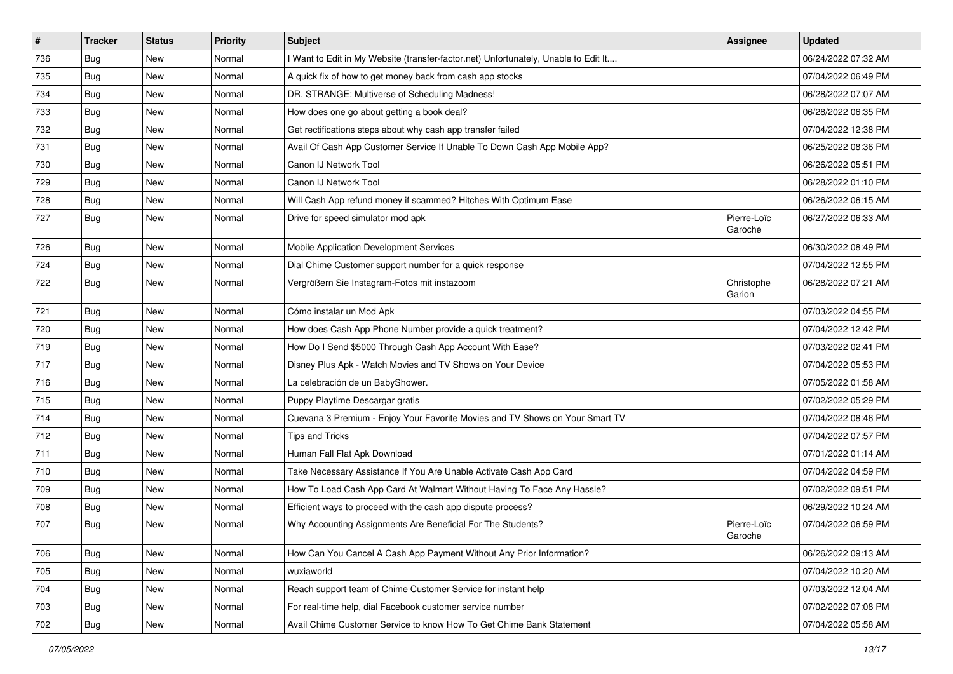| $\vert$ # | <b>Tracker</b> | <b>Status</b> | <b>Priority</b> | Subject                                                                             | <b>Assignee</b>        | <b>Updated</b>      |
|-----------|----------------|---------------|-----------------|-------------------------------------------------------------------------------------|------------------------|---------------------|
| 736       | <b>Bug</b>     | New           | Normal          | I Want to Edit in My Website (transfer-factor.net) Unfortunately, Unable to Edit It |                        | 06/24/2022 07:32 AM |
| 735       | <b>Bug</b>     | New           | Normal          | A quick fix of how to get money back from cash app stocks                           |                        | 07/04/2022 06:49 PM |
| 734       | Bug            | New           | Normal          | DR. STRANGE: Multiverse of Scheduling Madness!                                      |                        | 06/28/2022 07:07 AM |
| 733       | <b>Bug</b>     | New           | Normal          | How does one go about getting a book deal?                                          |                        | 06/28/2022 06:35 PM |
| 732       | Bug            | <b>New</b>    | Normal          | Get rectifications steps about why cash app transfer failed                         |                        | 07/04/2022 12:38 PM |
| 731       | <b>Bug</b>     | New           | Normal          | Avail Of Cash App Customer Service If Unable To Down Cash App Mobile App?           |                        | 06/25/2022 08:36 PM |
| 730       | Bug            | New           | Normal          | Canon IJ Network Tool                                                               |                        | 06/26/2022 05:51 PM |
| 729       | <b>Bug</b>     | New           | Normal          | Canon IJ Network Tool                                                               |                        | 06/28/2022 01:10 PM |
| 728       | <b>Bug</b>     | <b>New</b>    | Normal          | Will Cash App refund money if scammed? Hitches With Optimum Ease                    |                        | 06/26/2022 06:15 AM |
| 727       | Bug            | New           | Normal          | Drive for speed simulator mod apk                                                   | Pierre-Loïc<br>Garoche | 06/27/2022 06:33 AM |
| 726       | Bug            | <b>New</b>    | Normal          | Mobile Application Development Services                                             |                        | 06/30/2022 08:49 PM |
| 724       | Bug            | <b>New</b>    | Normal          | Dial Chime Customer support number for a quick response                             |                        | 07/04/2022 12:55 PM |
| 722       | <b>Bug</b>     | New           | Normal          | Vergrößern Sie Instagram-Fotos mit instazoom                                        | Christophe<br>Garion   | 06/28/2022 07:21 AM |
| 721       | Bug            | <b>New</b>    | Normal          | Cómo instalar un Mod Apk                                                            |                        | 07/03/2022 04:55 PM |
| 720       | <b>Bug</b>     | <b>New</b>    | Normal          | How does Cash App Phone Number provide a quick treatment?                           |                        | 07/04/2022 12:42 PM |
| 719       | Bug            | New           | Normal          | How Do I Send \$5000 Through Cash App Account With Ease?                            |                        | 07/03/2022 02:41 PM |
| 717       | <b>Bug</b>     | New           | Normal          | Disney Plus Apk - Watch Movies and TV Shows on Your Device                          |                        | 07/04/2022 05:53 PM |
| 716       | Bug            | New           | Normal          | La celebración de un BabyShower.                                                    |                        | 07/05/2022 01:58 AM |
| 715       | Bug            | <b>New</b>    | Normal          | Puppy Playtime Descargar gratis                                                     |                        | 07/02/2022 05:29 PM |
| 714       | Bug            | New           | Normal          | Cuevana 3 Premium - Enjoy Your Favorite Movies and TV Shows on Your Smart TV        |                        | 07/04/2022 08:46 PM |
| 712       | <b>Bug</b>     | <b>New</b>    | Normal          | Tips and Tricks                                                                     |                        | 07/04/2022 07:57 PM |
| 711       | Bug            | New           | Normal          | Human Fall Flat Apk Download                                                        |                        | 07/01/2022 01:14 AM |
| 710       | <b>Bug</b>     | New           | Normal          | Take Necessary Assistance If You Are Unable Activate Cash App Card                  |                        | 07/04/2022 04:59 PM |
| 709       | Bug            | <b>New</b>    | Normal          | How To Load Cash App Card At Walmart Without Having To Face Any Hassle?             |                        | 07/02/2022 09:51 PM |
| 708       | <b>Bug</b>     | New           | Normal          | Efficient ways to proceed with the cash app dispute process?                        |                        | 06/29/2022 10:24 AM |
| 707       | <b>Bug</b>     | New           | Normal          | Why Accounting Assignments Are Beneficial For The Students?                         | Pierre-Loïc<br>Garoche | 07/04/2022 06:59 PM |
| 706       | Bug            | New           | Normal          | How Can You Cancel A Cash App Payment Without Any Prior Information?                |                        | 06/26/2022 09:13 AM |
| 705       | Bug            | New           | Normal          | wuxiaworld                                                                          |                        | 07/04/2022 10:20 AM |
| 704       | <b>Bug</b>     | New           | Normal          | Reach support team of Chime Customer Service for instant help                       |                        | 07/03/2022 12:04 AM |
| 703       | Bug            | New           | Normal          | For real-time help, dial Facebook customer service number                           |                        | 07/02/2022 07:08 PM |
| 702       | Bug            | New           | Normal          | Avail Chime Customer Service to know How To Get Chime Bank Statement                |                        | 07/04/2022 05:58 AM |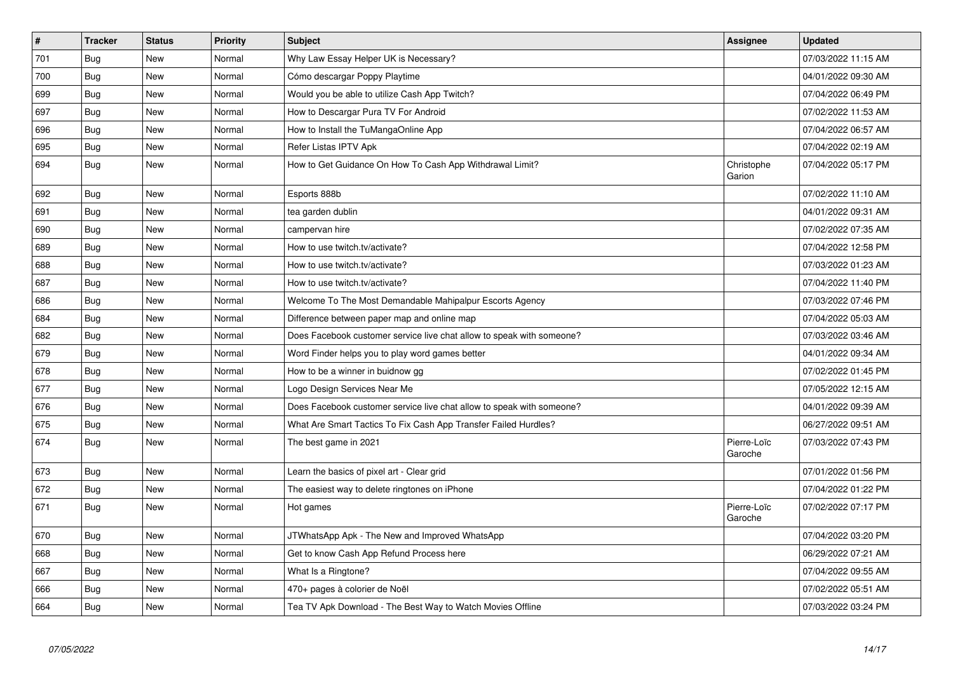| $\pmb{\sharp}$ | <b>Tracker</b> | <b>Status</b> | <b>Priority</b> | <b>Subject</b>                                                        | Assignee               | <b>Updated</b>      |
|----------------|----------------|---------------|-----------------|-----------------------------------------------------------------------|------------------------|---------------------|
| 701            | Bug            | <b>New</b>    | Normal          | Why Law Essay Helper UK is Necessary?                                 |                        | 07/03/2022 11:15 AM |
| 700            | Bug            | <b>New</b>    | Normal          | Cómo descargar Poppy Playtime                                         |                        | 04/01/2022 09:30 AM |
| 699            | <b>Bug</b>     | <b>New</b>    | Normal          | Would you be able to utilize Cash App Twitch?                         |                        | 07/04/2022 06:49 PM |
| 697            | Bug            | <b>New</b>    | Normal          | How to Descargar Pura TV For Android                                  |                        | 07/02/2022 11:53 AM |
| 696            | <b>Bug</b>     | <b>New</b>    | Normal          | How to Install the TuMangaOnline App                                  |                        | 07/04/2022 06:57 AM |
| 695            | Bug            | <b>New</b>    | Normal          | Refer Listas IPTV Apk                                                 |                        | 07/04/2022 02:19 AM |
| 694            | Bug            | New           | Normal          | How to Get Guidance On How To Cash App Withdrawal Limit?              | Christophe<br>Garion   | 07/04/2022 05:17 PM |
| 692            | <b>Bug</b>     | <b>New</b>    | Normal          | Esports 888b                                                          |                        | 07/02/2022 11:10 AM |
| 691            | Bug            | New           | Normal          | tea garden dublin                                                     |                        | 04/01/2022 09:31 AM |
| 690            | <b>Bug</b>     | <b>New</b>    | Normal          | campervan hire                                                        |                        | 07/02/2022 07:35 AM |
| 689            | Bug            | New           | Normal          | How to use twitch.tv/activate?                                        |                        | 07/04/2022 12:58 PM |
| 688            | Bug            | New           | Normal          | How to use twitch.tv/activate?                                        |                        | 07/03/2022 01:23 AM |
| 687            | Bug            | New           | Normal          | How to use twitch.tv/activate?                                        |                        | 07/04/2022 11:40 PM |
| 686            | <b>Bug</b>     | <b>New</b>    | Normal          | Welcome To The Most Demandable Mahipalpur Escorts Agency              |                        | 07/03/2022 07:46 PM |
| 684            | Bug            | <b>New</b>    | Normal          | Difference between paper map and online map                           |                        | 07/04/2022 05:03 AM |
| 682            | Bug            | New           | Normal          | Does Facebook customer service live chat allow to speak with someone? |                        | 07/03/2022 03:46 AM |
| 679            | <b>Bug</b>     | <b>New</b>    | Normal          | Word Finder helps you to play word games better                       |                        | 04/01/2022 09:34 AM |
| 678            | Bug            | <b>New</b>    | Normal          | How to be a winner in buidnow gg                                      |                        | 07/02/2022 01:45 PM |
| 677            | <b>Bug</b>     | <b>New</b>    | Normal          | Logo Design Services Near Me                                          |                        | 07/05/2022 12:15 AM |
| 676            | Bug            | New           | Normal          | Does Facebook customer service live chat allow to speak with someone? |                        | 04/01/2022 09:39 AM |
| 675            | Bug            | New           | Normal          | What Are Smart Tactics To Fix Cash App Transfer Failed Hurdles?       |                        | 06/27/2022 09:51 AM |
| 674            | Bug            | New           | Normal          | The best game in 2021                                                 | Pierre-Loïc<br>Garoche | 07/03/2022 07:43 PM |
| 673            | Bug            | <b>New</b>    | Normal          | Learn the basics of pixel art - Clear grid                            |                        | 07/01/2022 01:56 PM |
| 672            | <b>Bug</b>     | New           | Normal          | The easiest way to delete ringtones on iPhone                         |                        | 07/04/2022 01:22 PM |
| 671            | Bug            | New           | Normal          | Hot games                                                             | Pierre-Loïc<br>Garoche | 07/02/2022 07:17 PM |
| 670            | Bug            | New           | Normal          | JTWhatsApp Apk - The New and Improved WhatsApp                        |                        | 07/04/2022 03:20 PM |
| 668            | <b>Bug</b>     | <b>New</b>    | Normal          | Get to know Cash App Refund Process here                              |                        | 06/29/2022 07:21 AM |
| 667            | <b>Bug</b>     | New           | Normal          | What Is a Ringtone?                                                   |                        | 07/04/2022 09:55 AM |
| 666            | <b>Bug</b>     | New           | Normal          | 470+ pages à colorier de Noël                                         |                        | 07/02/2022 05:51 AM |
| 664            | Bug            | New           | Normal          | Tea TV Apk Download - The Best Way to Watch Movies Offline            |                        | 07/03/2022 03:24 PM |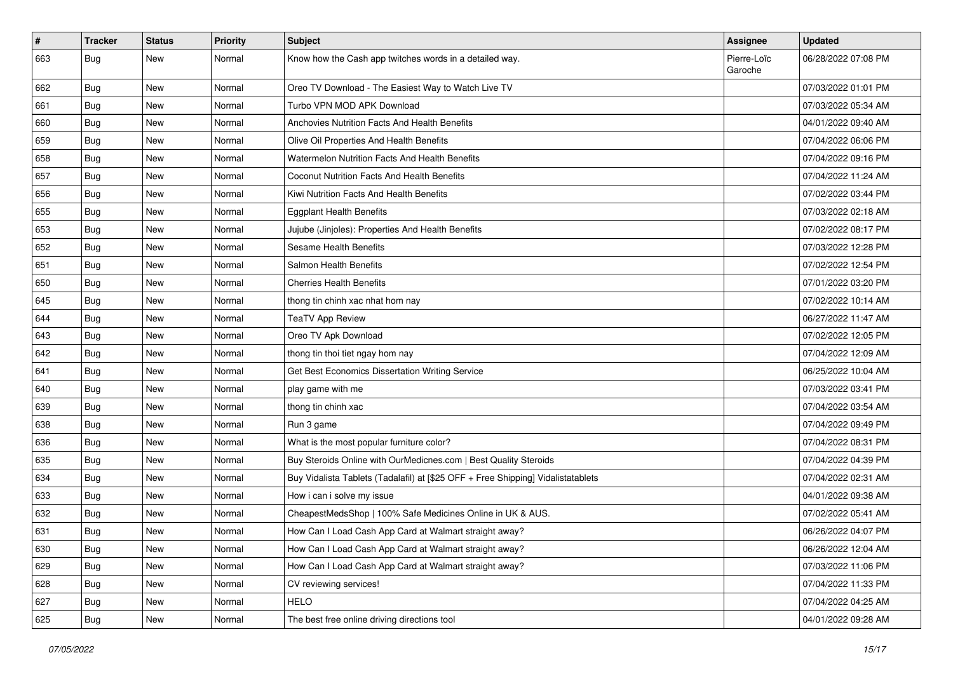| $\vert$ # | <b>Tracker</b> | <b>Status</b> | <b>Priority</b> | <b>Subject</b>                                                                   | Assignee               | <b>Updated</b>      |
|-----------|----------------|---------------|-----------------|----------------------------------------------------------------------------------|------------------------|---------------------|
| 663       | <b>Bug</b>     | New           | Normal          | Know how the Cash app twitches words in a detailed way.                          | Pierre-Loïc<br>Garoche | 06/28/2022 07:08 PM |
| 662       | Bug            | New           | Normal          | Oreo TV Download - The Easiest Way to Watch Live TV                              |                        | 07/03/2022 01:01 PM |
| 661       | Bug            | New           | Normal          | Turbo VPN MOD APK Download                                                       |                        | 07/03/2022 05:34 AM |
| 660       | Bug            | <b>New</b>    | Normal          | Anchovies Nutrition Facts And Health Benefits                                    |                        | 04/01/2022 09:40 AM |
| 659       | Bug            | New           | Normal          | Olive Oil Properties And Health Benefits                                         |                        | 07/04/2022 06:06 PM |
| 658       | Bug            | <b>New</b>    | Normal          | Watermelon Nutrition Facts And Health Benefits                                   |                        | 07/04/2022 09:16 PM |
| 657       | Bug            | New           | Normal          | Coconut Nutrition Facts And Health Benefits                                      |                        | 07/04/2022 11:24 AM |
| 656       | Bug            | <b>New</b>    | Normal          | Kiwi Nutrition Facts And Health Benefits                                         |                        | 07/02/2022 03:44 PM |
| 655       | Bug            | New           | Normal          | <b>Eggplant Health Benefits</b>                                                  |                        | 07/03/2022 02:18 AM |
| 653       | Bug            | New           | Normal          | Jujube (Jinjoles): Properties And Health Benefits                                |                        | 07/02/2022 08:17 PM |
| 652       | Bug            | <b>New</b>    | Normal          | Sesame Health Benefits                                                           |                        | 07/03/2022 12:28 PM |
| 651       | Bug            | New           | Normal          | Salmon Health Benefits                                                           |                        | 07/02/2022 12:54 PM |
| 650       | Bug            | New           | Normal          | <b>Cherries Health Benefits</b>                                                  |                        | 07/01/2022 03:20 PM |
| 645       | Bug            | <b>New</b>    | Normal          | thong tin chinh xac nhat hom nay                                                 |                        | 07/02/2022 10:14 AM |
| 644       | <b>Bug</b>     | New           | Normal          | <b>TeaTV App Review</b>                                                          |                        | 06/27/2022 11:47 AM |
| 643       | Bug            | New           | Normal          | Oreo TV Apk Download                                                             |                        | 07/02/2022 12:05 PM |
| 642       | Bug            | New           | Normal          | thong tin thoi tiet ngay hom nay                                                 |                        | 07/04/2022 12:09 AM |
| 641       | Bug            | New           | Normal          | Get Best Economics Dissertation Writing Service                                  |                        | 06/25/2022 10:04 AM |
| 640       | Bug            | <b>New</b>    | Normal          | play game with me                                                                |                        | 07/03/2022 03:41 PM |
| 639       | Bug            | New           | Normal          | thong tin chinh xac                                                              |                        | 07/04/2022 03:54 AM |
| 638       | <b>Bug</b>     | <b>New</b>    | Normal          | Run 3 game                                                                       |                        | 07/04/2022 09:49 PM |
| 636       | Bug            | <b>New</b>    | Normal          | What is the most popular furniture color?                                        |                        | 07/04/2022 08:31 PM |
| 635       | Bug            | New           | Normal          | Buy Steroids Online with OurMedicnes.com   Best Quality Steroids                 |                        | 07/04/2022 04:39 PM |
| 634       | Bug            | <b>New</b>    | Normal          | Buy Vidalista Tablets (Tadalafil) at [\$25 OFF + Free Shipping] Vidalistatablets |                        | 07/04/2022 02:31 AM |
| 633       | <b>Bug</b>     | New           | Normal          | How i can i solve my issue                                                       |                        | 04/01/2022 09:38 AM |
| 632       | <b>Bug</b>     | <b>New</b>    | Normal          | CheapestMedsShop   100% Safe Medicines Online in UK & AUS.                       |                        | 07/02/2022 05:41 AM |
| 631       | <b>Bug</b>     | <b>New</b>    | Normal          | How Can I Load Cash App Card at Walmart straight away?                           |                        | 06/26/2022 04:07 PM |
| 630       | <b>Bug</b>     | New           | Normal          | How Can I Load Cash App Card at Walmart straight away?                           |                        | 06/26/2022 12:04 AM |
| 629       | Bug            | New           | Normal          | How Can I Load Cash App Card at Walmart straight away?                           |                        | 07/03/2022 11:06 PM |
| 628       | <b>Bug</b>     | New           | Normal          | CV reviewing services!                                                           |                        | 07/04/2022 11:33 PM |
| 627       | Bug            | New           | Normal          | <b>HELO</b>                                                                      |                        | 07/04/2022 04:25 AM |
| 625       | <b>Bug</b>     | New           | Normal          | The best free online driving directions tool                                     |                        | 04/01/2022 09:28 AM |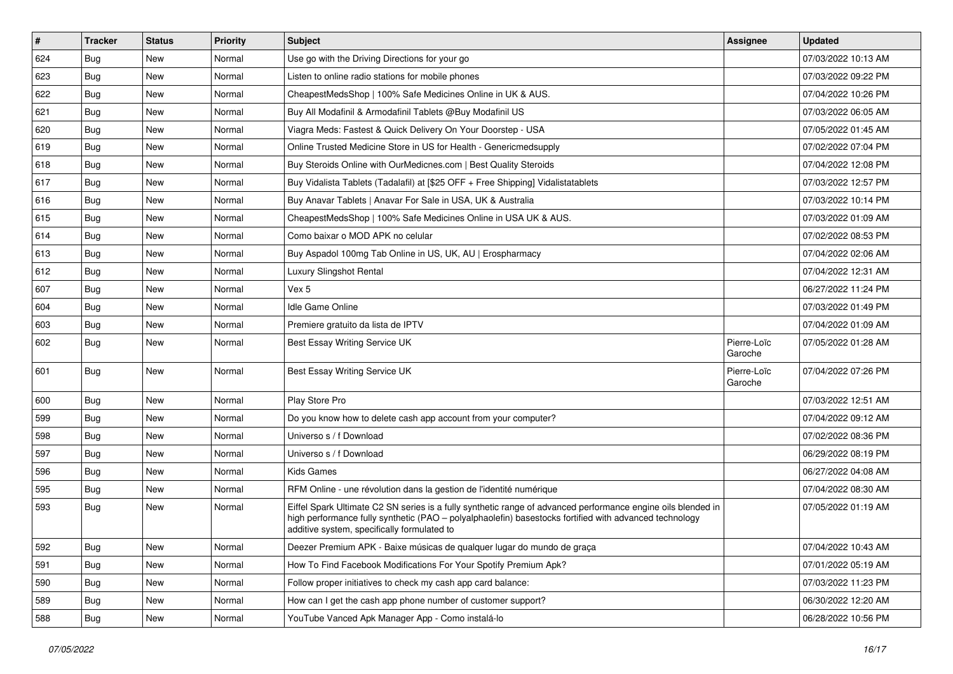| #   | Tracker    | <b>Status</b> | <b>Priority</b> | <b>Subject</b>                                                                                                                                                                                                                                                        | <b>Assignee</b>        | <b>Updated</b>      |
|-----|------------|---------------|-----------------|-----------------------------------------------------------------------------------------------------------------------------------------------------------------------------------------------------------------------------------------------------------------------|------------------------|---------------------|
| 624 | Bug        | New           | Normal          | Use go with the Driving Directions for your go                                                                                                                                                                                                                        |                        | 07/03/2022 10:13 AM |
| 623 | Bug        | <b>New</b>    | Normal          | Listen to online radio stations for mobile phones                                                                                                                                                                                                                     |                        | 07/03/2022 09:22 PM |
| 622 | <b>Bug</b> | New           | Normal          | CheapestMedsShop   100% Safe Medicines Online in UK & AUS.                                                                                                                                                                                                            |                        | 07/04/2022 10:26 PM |
| 621 | Bug        | New           | Normal          | Buy All Modafinil & Armodafinil Tablets @Buy Modafinil US                                                                                                                                                                                                             |                        | 07/03/2022 06:05 AM |
| 620 | Bug        | New           | Normal          | Viagra Meds: Fastest & Quick Delivery On Your Doorstep - USA                                                                                                                                                                                                          |                        | 07/05/2022 01:45 AM |
| 619 | Bug        | New           | Normal          | Online Trusted Medicine Store in US for Health - Genericmedsupply                                                                                                                                                                                                     |                        | 07/02/2022 07:04 PM |
| 618 | Bug        | New           | Normal          | Buy Steroids Online with OurMedicnes.com   Best Quality Steroids                                                                                                                                                                                                      |                        | 07/04/2022 12:08 PM |
| 617 | Bug        | New           | Normal          | Buy Vidalista Tablets (Tadalafil) at [\$25 OFF + Free Shipping] Vidalistatablets                                                                                                                                                                                      |                        | 07/03/2022 12:57 PM |
| 616 | <b>Bug</b> | New           | Normal          | Buy Anavar Tablets   Anavar For Sale in USA, UK & Australia                                                                                                                                                                                                           |                        | 07/03/2022 10:14 PM |
| 615 | Bug        | New           | Normal          | CheapestMedsShop   100% Safe Medicines Online in USA UK & AUS.                                                                                                                                                                                                        |                        | 07/03/2022 01:09 AM |
| 614 | <b>Bug</b> | New           | Normal          | Como baixar o MOD APK no celular                                                                                                                                                                                                                                      |                        | 07/02/2022 08:53 PM |
| 613 | Bug        | New           | Normal          | Buy Aspadol 100mg Tab Online in US, UK, AU   Erospharmacy                                                                                                                                                                                                             |                        | 07/04/2022 02:06 AM |
| 612 | Bug        | New           | Normal          | Luxury Slingshot Rental                                                                                                                                                                                                                                               |                        | 07/04/2022 12:31 AM |
| 607 | <b>Bug</b> | New           | Normal          | Vex 5                                                                                                                                                                                                                                                                 |                        | 06/27/2022 11:24 PM |
| 604 | Bug        | New           | Normal          | Idle Game Online                                                                                                                                                                                                                                                      |                        | 07/03/2022 01:49 PM |
| 603 | <b>Bug</b> | New           | Normal          | Premiere gratuito da lista de IPTV                                                                                                                                                                                                                                    |                        | 07/04/2022 01:09 AM |
| 602 | <b>Bug</b> | New           | Normal          | Best Essay Writing Service UK                                                                                                                                                                                                                                         | Pierre-Loïc<br>Garoche | 07/05/2022 01:28 AM |
| 601 | Bug        | New           | Normal          | Best Essay Writing Service UK                                                                                                                                                                                                                                         | Pierre-Loïc<br>Garoche | 07/04/2022 07:26 PM |
| 600 | Bug        | <b>New</b>    | Normal          | Play Store Pro                                                                                                                                                                                                                                                        |                        | 07/03/2022 12:51 AM |
| 599 | <b>Bug</b> | New           | Normal          | Do you know how to delete cash app account from your computer?                                                                                                                                                                                                        |                        | 07/04/2022 09:12 AM |
| 598 | Bug        | New           | Normal          | Universo s / f Download                                                                                                                                                                                                                                               |                        | 07/02/2022 08:36 PM |
| 597 | <b>Bug</b> | New           | Normal          | Universo s / f Download                                                                                                                                                                                                                                               |                        | 06/29/2022 08:19 PM |
| 596 | <b>Bug</b> | New           | Normal          | <b>Kids Games</b>                                                                                                                                                                                                                                                     |                        | 06/27/2022 04:08 AM |
| 595 | Bug        | New           | Normal          | RFM Online - une révolution dans la gestion de l'identité numérique                                                                                                                                                                                                   |                        | 07/04/2022 08:30 AM |
| 593 | Bug        | New           | Normal          | Eiffel Spark Ultimate C2 SN series is a fully synthetic range of advanced performance engine oils blended in<br>high performance fully synthetic (PAO - polyalphaolefin) basestocks fortified with advanced technology<br>additive system, specifically formulated to |                        | 07/05/2022 01:19 AM |
| 592 | <b>Bug</b> | New           | Normal          | Deezer Premium APK - Baixe músicas de qualquer lugar do mundo de graça                                                                                                                                                                                                |                        | 07/04/2022 10:43 AM |
| 591 | Bug        | New           | Normal          | How To Find Facebook Modifications For Your Spotify Premium Apk?                                                                                                                                                                                                      |                        | 07/01/2022 05:19 AM |
| 590 | Bug        | New           | Normal          | Follow proper initiatives to check my cash app card balance:                                                                                                                                                                                                          |                        | 07/03/2022 11:23 PM |
| 589 | <b>Bug</b> | New           | Normal          | How can I get the cash app phone number of customer support?                                                                                                                                                                                                          |                        | 06/30/2022 12:20 AM |
| 588 | <b>Bug</b> | New           | Normal          | YouTube Vanced Apk Manager App - Como instalá-lo                                                                                                                                                                                                                      |                        | 06/28/2022 10:56 PM |